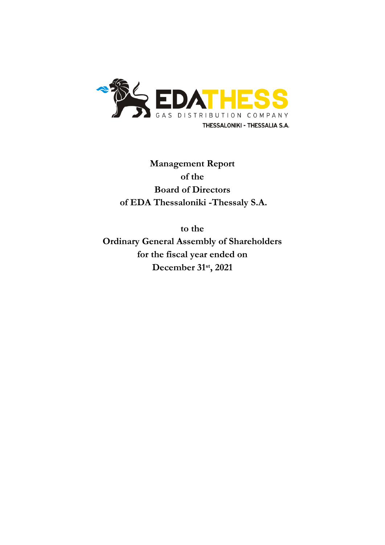

**Management Report of the Board of Directors of EDA Thessaloniki -Thessaly S.A.**

**to the** 

**Ordinary General Assembly of Shareholders for the fiscal year ended on December 31st , 2021**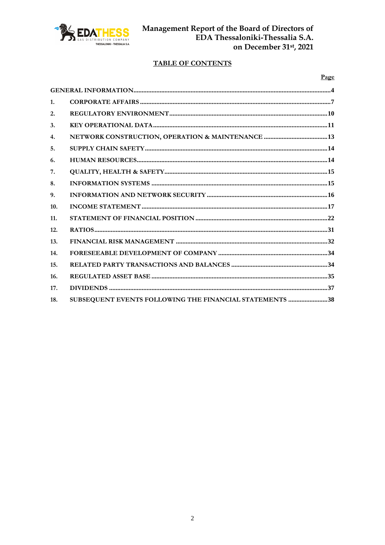

# **TABLE OF CONTENTS**

| ×<br>I |
|--------|
|--------|

| 1.             |                                                         |  |
|----------------|---------------------------------------------------------|--|
| 2.             |                                                         |  |
| 3.             |                                                         |  |
| 4.             |                                                         |  |
| 5 <sub>1</sub> |                                                         |  |
| 6.             |                                                         |  |
| 7.             |                                                         |  |
| 8.             |                                                         |  |
| 9.             |                                                         |  |
| 10.            |                                                         |  |
| 11.            |                                                         |  |
| 12.            |                                                         |  |
| 13.            |                                                         |  |
| 14.            |                                                         |  |
| 15.            |                                                         |  |
| 16.            |                                                         |  |
| 17.            |                                                         |  |
| 18.            | SUBSEQUENT EVENTS FOLLOWING THE FINANCIAL STATEMENTS 38 |  |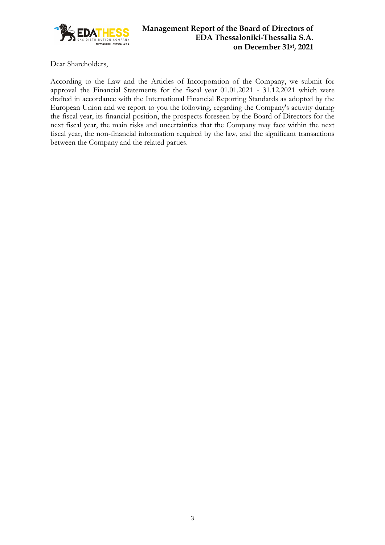

Dear Shareholders,

According to the Law and the Articles of Incorporation of the Company, we submit for approval the Financial Statements for the fiscal year 01.01.2021 - 31.12.2021 which were drafted in accordance with the International Financial Reporting Standards as adopted by the European Union and we report to you the following, regarding the Company's activity during the fiscal year, its financial position, the prospects foreseen by the Board of Directors for the next fiscal year, the main risks and uncertainties that the Company may face within the next fiscal year, the non-financial information required by the law, and the significant transactions between the Company and the related parties.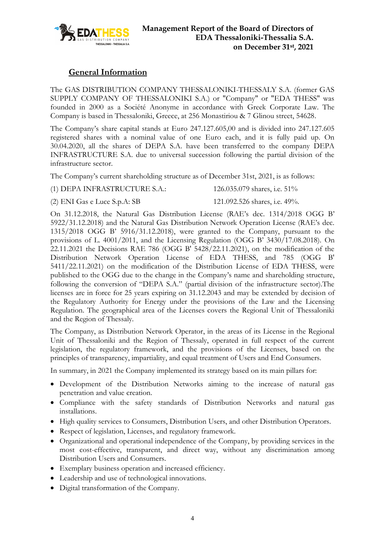

# **General Information**

<span id="page-3-0"></span>The GAS DISTRIBUTION COMPANY THESSALONIKI-THESSALY S.A. (former GAS SUPPLY COMPANY OF THESSALONIKI S.A.) or "Company" or "EDA THESS" was founded in 2000 as a Société Anonyme in accordance with Greek Corporate Law. The Company is based in Thessaloniki, Greece, at 256 Monastiriou & 7 Glinou street, 54628.

The Company's share capital stands at Euro 247.127.605,00 and is divided into 247.127.605 registered shares with a nominal value of one Euro each, and it is fully paid up. On 30.04.2020, all the shares of DEPA S.A. have been transferred to the company DEPA INFRASTRUCTURE S.A. due to universal succession following the partial division of the infrastructure sector.

The Company's current shareholding structure as of December 31st, 2021, is as follows:

(1) DEPA INFRASTRUCTURE S.A.: 126.035.079 shares, i.e. 51%

- 
- (2) ENI Gas e Luce S.p.A: SB 121.092.526 shares, i.e. 49%.

On 31.12.2018, the Natural Gas Distribution License (RAE's dec. 1314/2018 OGG B' 5922/31.12.2018) and the Natural Gas Distribution Network Operation License (RAE's dec. 1315/2018 OGG B' 5916/31.12.2018), were granted to the Company, pursuant to the provisions of L. 4001/2011, and the Licensing Regulation (OGG B' 3430/17.08.2018). On 22.11.2021 the Decisions RAE 786 (OGG Β' 5428/22.11.2021), on the modification of the Distribution Network Operation License of EDA THESS, and 785 (OGG Β' 5411/22.11.2021) on the modification of the Distribution License of EDA THESS, were published to the OGG due to the change in the Company's name and shareholding structure, following the conversion of "DEPA S.A." (partial division of the infrastructure sector).The licenses are in force for 25 years expiring on 31.12.2043 and may be extended by decision of the Regulatory Authority for Energy under the provisions of the Law and the Licensing Regulation. The geographical area of the Licenses covers the Regional Unit of Thessaloniki and the Region of Thessaly.

The Company, as Distribution Network Operator, in the areas of its License in the Regional Unit of Thessaloniki and the Region of Thessaly, operated in full respect of the current legislation, the regulatory framework, and the provisions of the Licenses, based on the principles of transparency, impartiality, and equal treatment of Users and End Consumers.

In summary, in 2021 the Company implemented its strategy based on its main pillars for:

- Development of the Distribution Networks aiming to the increase of natural gas penetration and value creation.
- Compliance with the safety standards of Distribution Networks and natural gas installations.
- High quality services to Consumers, Distribution Users, and other Distribution Operators.
- Respect of legislation, Licenses, and regulatory framework.
- Organizational and operational independence of the Company, by providing services in the most cost-effective, transparent, and direct way, without any discrimination among Distribution Users and Consumers.
- Exemplary business operation and increased efficiency.
- Leadership and use of technological innovations.
- Digital transformation of the Company.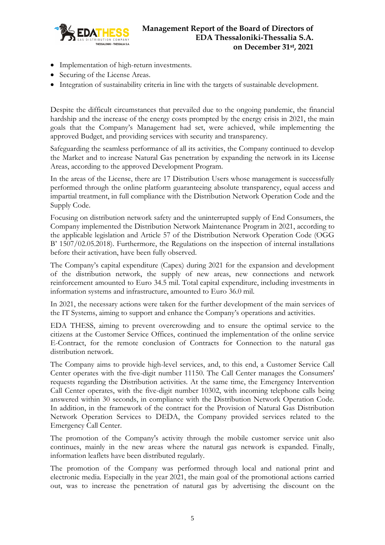

- Implementation of high-return investments.
- Securing of the License Areas.
- Integration of sustainability criteria in line with the targets of sustainable development.

Despite the difficult circumstances that prevailed due to the ongoing pandemic, the financial hardship and the increase of the energy costs prompted by the energy crisis in 2021, the main goals that the Company's Management had set, were achieved, while implementing the approved Budget, and providing services with security and transparency.

Safeguarding the seamless performance of all its activities, the Company continued to develop the Market and to increase Natural Gas penetration by expanding the network in its License Areas, according to the approved Development Program.

In the areas of the License, there are 17 Distribution Users whose management is successfully performed through the online platform guaranteeing absolute transparency, equal access and impartial treatment, in full compliance with the Distribution Network Operation Code and the Supply Code.

Focusing on distribution network safety and the uninterrupted supply of End Consumers, the Company implemented the Distribution Network Maintenance Program in 2021, according to the applicable legislation and Article 57 of the Distribution Network Operation Code (OGG Β' 1507/02.05.2018). Furthermore, the Regulations on the inspection of internal installations before their activation, have been fully observed.

The Company's capital expenditure (Capex) during 2021 for the expansion and development of the distribution network, the supply of new areas, new connections and network reinforcement amounted to Euro 34.5 mil. Total capital expenditure, including investments in information systems and infrastructure, amounted to Euro 36.0 mil.

In 2021, the necessary actions were taken for the further development of the main services of the IT Systems, aiming to support and enhance the Company's operations and activities.

EDA THESS, aiming to prevent overcrowding and to ensure the optimal service to the citizens at the Customer Service Offices, continued the implementation of the online service E-Contract, for the remote conclusion of Contracts for Connection to the natural gas distribution network.

The Company aims to provide high-level services, and, to this end, a Customer Service Call Center operates with the five-digit number 11150. The Call Center manages the Consumers' requests regarding the Distribution activities. At the same time, the Emergency Intervention Call Center operates, with the five-digit number 10302, with incoming telephone calls being answered within 30 seconds, in compliance with the Distribution Network Operation Code. In addition, in the framework of the contract for the Provision of Natural Gas Distribution Network Operation Services to DEDA, the Company provided services related to the Emergency Call Center.

The promotion of the Company's activity through the mobile customer service unit also continues, mainly in the new areas where the natural gas network is expanded. Finally, information leaflets have been distributed regularly.

The promotion of the Company was performed through local and national print and electronic media. Especially in the year 2021, the main goal of the promotional actions carried out, was to increase the penetration of natural gas by advertising the discount on the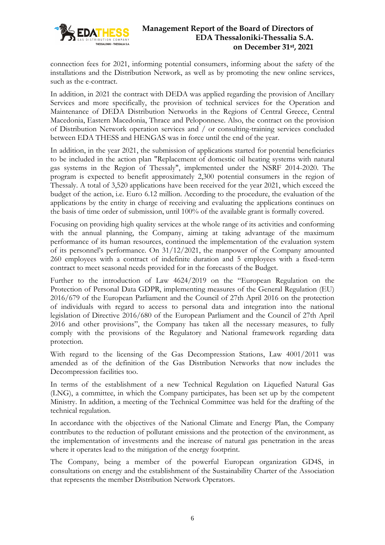

connection fees for 2021, informing potential consumers, informing about the safety of the installations and the Distribution Network, as well as by promoting the new online services, such as the e-contract.

In addition, in 2021 the contract with DEDA was applied regarding the provision of Ancillary Services and more specifically, the provision of technical services for the Operation and Maintenance of DEDA Distribution Networks in the Regions of Central Greece, Central Macedonia, Eastern Macedonia, Thrace and Peloponnese. Also, the contract on the provision of Distribution Network operation services and / or consulting-training services concluded between EDA THESS and HENGAS was in force until the end of the year.

In addition, in the year 2021, the submission of applications started for potential beneficiaries to be included in the action plan "Replacement of domestic oil heating systems with natural gas systems in the Region of Thessaly", implemented under the NSRF 2014-2020. The program is expected to benefit approximately 2,300 potential consumers in the region of Thessaly. A total of 3,520 applications have been received for the year 2021, which exceed the budget of the action, i.e. Euro 6.12 million. According to the procedure, the evaluation of the applications by the entity in charge of receiving and evaluating the applications continues on the basis of time order of submission, until 100% of the available grant is formally covered.

Focusing on providing high quality services at the whole range of its activities and conforming with the annual planning, the Company, aiming at taking advantage of the maximum performance of its human resources, continued the implementation of the evaluation system of its personnel's performance. On 31/12/2021, the manpower of the Company amounted 260 employees with a contract of indefinite duration and 5 employees with a fixed-term contract to meet seasonal needs provided for in the forecasts of the Budget.

Further to the introduction of Law 4624/2019 on the "European Regulation on the Protection of Personal Data GDPR, implementing measures of the General Regulation (EU) 2016/679 of the European Parliament and the Council of 27th April 2016 on the protection of individuals with regard to access to personal data and integration into the national legislation of Directive 2016/680 of the European Parliament and the Council of 27th April 2016 and other provisions", the Company has taken all the necessary measures, to fully comply with the provisions of the Regulatory and National framework regarding data protection.

With regard to the licensing of the Gas Decompression Stations, Law 4001/2011 was amended as of the definition of the Gas Distribution Networks that now includes the Decompression facilities too.

In terms of the establishment of a new Technical Regulation on Liquefied Natural Gas (LNG), a committee, in which the Company participates, has been set up by the competent Ministry. In addition, a meeting of the Technical Committee was held for the drafting of the technical regulation.

In accordance with the objectives of the National Climate and Energy Plan, the Company contributes to the reduction of pollutant emissions and the protection of the environment, as the implementation of investments and the increase of natural gas penetration in the areas where it operates lead to the mitigation of the energy footprint.

The Company, being a member of the powerful European organization GD4S, in consultations on energy and the establishment of the Sustainability Charter of the Association that represents the member Distribution Network Operators.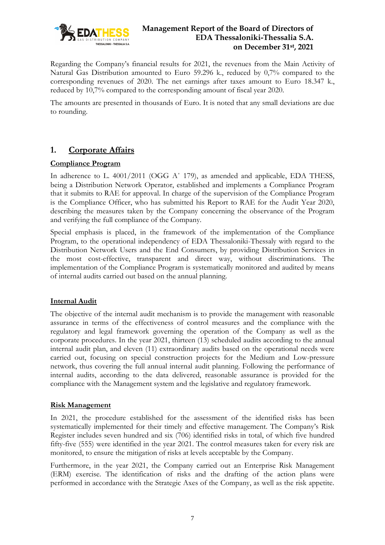

Regarding the Company's financial results for 2021, the revenues from the Main Activity of Natural Gas Distribution amounted to Euro 59.296 k., reduced by 0,7% compared to the corresponding revenues of 2020. The net earnings after taxes amount to Euro 18.347 k., reduced by 10,7% compared to the corresponding amount of fiscal year 2020.

The amounts are presented in thousands of Euro. It is noted that any small deviations are due to rounding.

# <span id="page-6-0"></span>**1. Corporate Affairs**

#### **Compliance Program**

In adherence to L. 4001/2011 (OGG Α΄ 179), as amended and applicable, EDA THESS, being a Distribution Network Operator, established and implements a Compliance Program that it submits to RAE for approval. In charge of the supervision of the Compliance Program is the Compliance Officer, who has submitted his Report to RAE for the Audit Year 2020, describing the measures taken by the Company concerning the observance of the Program and verifying the full compliance of the Company.

Special emphasis is placed, in the framework of the implementation of the Compliance Program, to the operational independency of EDA Thessaloniki-Thessaly with regard to the Distribution Network Users and the End Consumers, by providing Distribution Services in the most cost-effective, transparent and direct way, without discriminations. The implementation of the Compliance Program is systematically monitored and audited by means of internal audits carried out based on the annual planning.

#### **Internal Audit**

The objective of the internal audit mechanism is to provide the management with reasonable assurance in terms of the effectiveness of control measures and the compliance with the regulatory and legal framework governing the operation of the Company as well as the corporate procedures. In the year 2021, thirteen (13) scheduled audits according to the annual internal audit plan, and eleven (11) extraordinary audits based on the operational needs were carried out, focusing on special construction projects for the Medium and Low-pressure network, thus covering the full annual internal audit planning. Following the performance of internal audits, according to the data delivered, reasonable assurance is provided for the compliance with the Management system and the legislative and regulatory framework.

#### **Risk Management**

In 2021, the procedure established for the assessment of the identified risks has been systematically implemented for their timely and effective management. The Company's Risk Register includes seven hundred and six (706) identified risks in total, of which five hundred fifty-five (555) were identified in the year 2021. The control measures taken for every risk are monitored, to ensure the mitigation of risks at levels acceptable by the Company.

Furthermore, in the year 2021, the Company carried out an Enterprise Risk Management (ERM) exercise. The identification of risks and the drafting of the action plans were performed in accordance with the Strategic Axes of the Company, as well as the risk appetite.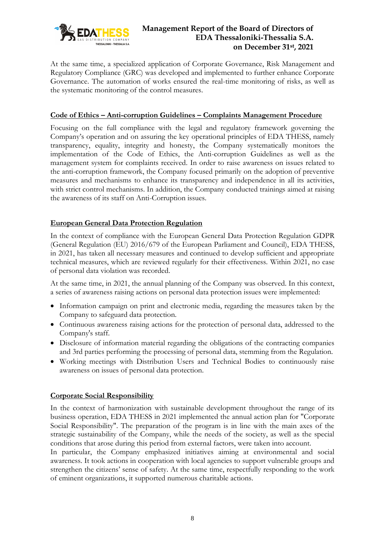

At the same time, a specialized application of Corporate Governance, Risk Management and Regulatory Compliance (GRC) was developed and implemented to further enhance Corporate Governance. The automation of works ensured the real-time monitoring of risks, as well as the systematic monitoring of the control measures.

#### **Code of Ethics – Anti-corruption Guidelines – Complaints Management Procedure**

Focusing on the full compliance with the legal and regulatory framework governing the Company's operation and on assuring the key operational principles of EDA THESS, namely transparency, equality, integrity and honesty, the Company systematically monitors the implementation of the Code of Ethics, the Anti-corruption Guidelines as well as the management system for complaints received. In order to raise awareness on issues related to the anti-corruption framework, the Company focused primarily on the adoption of preventive measures and mechanisms to enhance its transparency and independence in all its activities, with strict control mechanisms. In addition, the Company conducted trainings aimed at raising the awareness of its staff on Anti-Corruption issues.

#### **European General Data Protection Regulation**

In the context of compliance with the European General Data Protection Regulation GDPR (General Regulation (EU) 2016/679 of the European Parliament and Council), EDA THESS, in 2021, has taken all necessary measures and continued to develop sufficient and appropriate technical measures, which are reviewed regularly for their effectiveness. Within 2021, no case of personal data violation was recorded.

At the same time, in 2021, the annual planning of the Company was observed. In this context, a series of awareness raising actions on personal data protection issues were implemented:

- Information campaign on print and electronic media, regarding the measures taken by the Company to safeguard data protection.
- Continuous awareness raising actions for the protection of personal data, addressed to the Company's staff.
- Disclosure of information material regarding the obligations of the contracting companies and 3rd parties performing the processing of personal data, stemming from the Regulation.
- Working meetings with Distribution Users and Technical Bodies to continuously raise awareness on issues of personal data protection.

#### **Corporate Social Responsibility**

In the context of harmonization with sustainable development throughout the range of its business operation, EDA THESS in 2021 implemented the annual action plan for "Corporate Social Responsibility". The preparation of the program is in line with the main axes of the strategic sustainability of the Company, while the needs of the society, as well as the special conditions that arose during this period from external factors, were taken into account.

In particular, the Company emphasized initiatives aiming at environmental and social awareness. It took actions in cooperation with local agencies to support vulnerable groups and strengthen the citizens' sense of safety. At the same time, respectfully responding to the work of eminent organizations, it supported numerous charitable actions.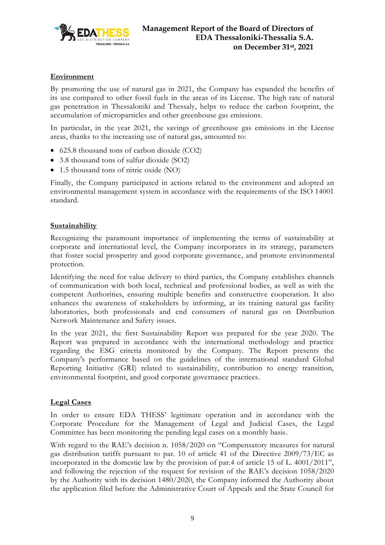

#### **Environment**

By promoting the use of natural gas in 2021, the Company has expanded the benefits of its use compared to other fossil fuels in the areas of its License. The high rate of natural gas penetration in Thessaloniki and Thessaly, helps to reduce the carbon footprint, the accumulation of microparticles and other greenhouse gas emissions.

In particular, in the year 2021, the savings of greenhouse gas emissions in the License areas, thanks to the increasing use of natural gas, amounted to:

- 625.8 thousand tons of carbon dioxide (CO2)
- 3.8 thousand tons of sulfur dioxide (SO2)
- 1.5 thousand tons of nitric oxide (NO)

Finally, the Company participated in actions related to the environment and adopted an environmental management system in accordance with the requirements of the ISO 14001 standard.

#### **Sustainability**

Recognizing the paramount importance of implementing the terms of sustainability at corporate and international level, the Company incorporates in its strategy, parameters that foster social prosperity and good corporate governance, and promote environmental protection.

Identifying the need for value delivery to third parties, the Company establishes channels of communication with both local, technical and professional bodies, as well as with the competent Authorities, ensuring multiple benefits and constructive cooperation. It also enhances the awareness of stakeholders by informing, at its training natural gas facility laboratories, both professionals and end consumers of natural gas on Distribution Network Maintenance and Safety issues.

In the year 2021, the first Sustainability Report was prepared for the year 2020. The Report was prepared in accordance with the international methodology and practice regarding the ESG criteria monitored by the Company. The Report presents the Company's performance based on the guidelines of the international standard Global Reporting Initiative (GRI) related to sustainability, contribution to energy transition, environmental footprint, and good corporate governance practices.

#### **Legal Cases**

In order to ensure EDA THESS' legitimate operation and in accordance with the Corporate Procedure for the Management of Legal and Judicial Cases, the Legal Committee has been monitoring the pending legal cases on a monthly basis.

With regard to the RAE's decision n. 1058/2020 on "Compensatory measures for natural gas distribution tariffs pursuant to par. 10 of article 41 of the Directive 2009/73/EC as incorporated in the domestic law by the provision of par.4 of article 15 of L. 4001/2011", and following the rejection of the request for revision of the RAE's decision 1058/2020 by the Authority with its decision 1480/2020, the Company informed the Authority about the application filed before the Administrative Court of Appeals and the State Council for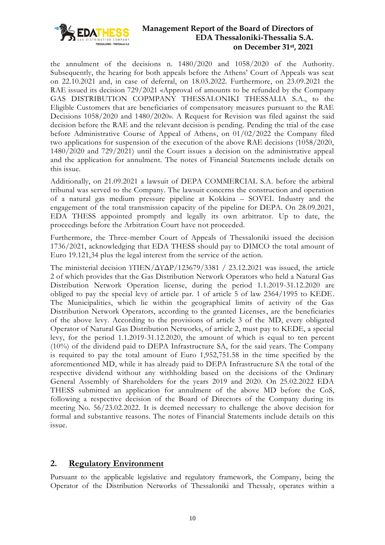

the annulment of the decisions n. 1480/2020 and 1058/2020 of the Authority. Subsequently, the hearing for both appeals before the Athens' Court of Appeals was seat on 22.10.2021 and, in case of deferral, on 18.03.2022. Furthermore, on 23.09.2021 the RAE issued its decision 729/2021 «Approval of amounts to be refunded by the Company GAS DISTRIBUTION COPMPANY THESSALONIKI THESSALIA S.A., to the Eligible Customers that are beneficiaries of compensatory measures pursuant to the RAE Decisions 1058/2020 and 1480/2020». A Request for Revision was filed against the said decision before the RAE and the relevant decision is pending. Pending the trial of the case before Administrative Course of Appeal of Athens, on 01/02/2022 the Company filed two applications for suspension of the execution of the above RAE decisions (1058/2020, 1480/2020 and 729/2021) until the Court issues a decision on the administrative appeal and the application for annulment. The notes of Financial Statements include details on this issue.

Additionally, on 21.09.2021 a lawsuit of DEPA COMMERCIAL S.A. before the arbitral tribunal was served to the Company. The lawsuit concerns the construction and operation of a natural gas medium pressure pipeline at Kokkina – SOVEL Industry and the engagement of the total transmission capacity of the pipeline for DEPA. On 28.09.2021, EDA THESS appointed promptly and legally its own arbitrator. Up to date, the proceedings before the Arbitration Court have not proceeded.

Furthermore, the Three-member Court of Appeals of Thessaloniki issued the decision 1736/2021, acknowledging that EDA THESS should pay to DIMCO the total amount of Euro 19.121,34 plus the legal interest from the service of the action.

The ministerial decision ΥΠΕΝ/ΔΥΔΡ/123679/3381 / 23.12.2021 was issued, the article 2 of which provides that the Gas Distribution Network Operators who held a Natural Gas Distribution Network Operation license, during the period 1.1.2019-31.12.2020 are obliged to pay the special levy of article par. 1 of article 5 of law 2364/1995 to KEDE. The Municipalities, which lie within the geographical limits of activity of the Gas Distribution Network Operators, according to the granted Licenses, are the beneficiaries of the above levy. According to the provisions of article 3 of the MD, every obligated Operator of Natural Gas Distribution Networks, of article 2, must pay to KEDE, a special levy, for the period 1.1.2019-31.12.2020, the amount of which is equal to ten percent (10%) of the dividend paid to DEPA Infrastructure SA, for the said years. The Company is required to pay the total amount of Euro 1,952,751.58 in the time specified by the aforementioned MD, while it has already paid to DEPA Infrastructure SA the total of the respective dividend without any withholding based on the decisions of the Ordinary General Assembly of Shareholders for the years 2019 and 2020. On 25.02.2022 EDA THESS submitted an application for annulment of the above MD before the CoS, following a respective decision of the Board of Directors of the Company during its meeting No. 56/23.02.2022. It is deemed necessary to challenge the above decision for formal and substantive reasons. The notes of Financial Statements include details on this issue.

## <span id="page-9-0"></span>**2. Regulatory Environment**

Pursuant to the applicable legislative and regulatory framework, the Company, being the Operator of the Distribution Networks of Thessaloniki and Thessaly, operates within a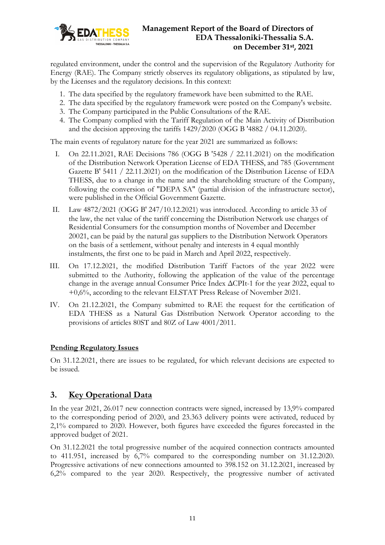

regulated environment, under the control and the supervision of the Regulatory Authority for Energy (RAE). The Company strictly observes its regulatory obligations, as stipulated by law, by the Licenses and the regulatory decisions. In this context:

- 1. The data specified by the regulatory framework have been submitted to the RAE.
- 2. The data specified by the regulatory framework were posted on the Company's website.
- 3. The Company participated in the Public Consultations of the RAE.
- 4. The Company complied with the Tariff Regulation of the Main Activity of Distribution and the decision approving the tariffs 1429/2020 (OGG B '4882 / 04.11.2020).

The main events of regulatory nature for the year 2021 are summarized as follows:

- I. On 22.11.2021, RAE Decisions 786 (OGG B '5428 / 22.11.2021) on the modification of the Distribution Network Operation License of EDA THESS, and 785 (Government Gazette B' 5411 / 22.11.2021) on the modification of the Distribution License of EDA THESS, due to a change in the name and the shareholding structure of the Company, following the conversion of "DEPA SA" (partial division of the infrastructure sector), were published in the Official Government Gazette.
- II. Law 4872/2021 (OGG Β' 247/10.12.2021) was introduced. According to article 33 of the law, the net value of the tariff concerning the Distribution Network use charges of Residential Consumers for the consumption months of November and December 20021, can be paid by the natural gas suppliers to the Distribution Network Operators on the basis of a settlement, without penalty and interests in 4 equal monthly instalments, the first one to be paid in March and April 2022, respectively.
- III. On 17.12.2021, the modified Distribution Tariff Factors of the year 2022 were submitted to the Authority, following the application of the value of the percentage change in the average annual Consumer Price Index ΔCPIt-1 for the year 2022, equal to +0,6%, according to the relevant ELSTAT Press Release of November 2021.
- IV. On 21.12.2021, the Company submitted to RAE the request for the certification of EDA THESS as a Natural Gas Distribution Network Operator according to the provisions of articles 80ST and 80Z of Law 4001/2011.

#### **Pending Regulatory Issues**

On 31.12.2021, there are issues to be regulated, for which relevant decisions are expected to be issued.

## <span id="page-10-0"></span>**3. Key Operational Data**

In the year 2021, 26.017 new connection contracts were signed, increased by 13,9% compared to the corresponding period of 2020, and 23.363 delivery points were activated, reduced by 2,1% compared to 2020. However, both figures have exceeded the figures forecasted in the approved budget of 2021.

On 31.12.2021 the total progressive number of the acquired connection contracts amounted to 411.951, increased by 6,7% compared to the corresponding number on 31.12.2020. Progressive activations of new connections amounted to 398.152 on 31.12.2021, increased by 6,2% compared to the year 2020. Respectively, the progressive number of activated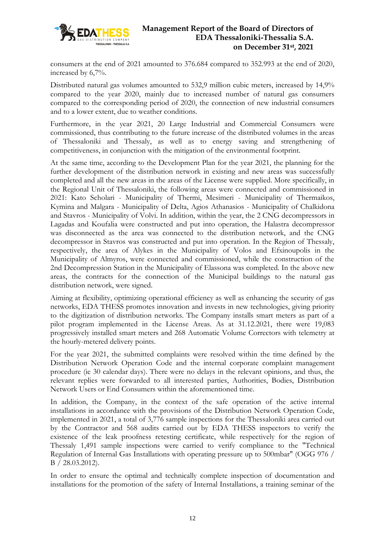

consumers at the end of 2021 amounted to 376.684 compared to 352.993 at the end of 2020, increased by 6,7%.

Distributed natural gas volumes amounted to 532,9 million cubic meters, increased by 14,9% compared to the year 2020, mainly due to increased number of natural gas consumers compared to the corresponding period of 2020, the connection of new industrial consumers and to a lower extent, due to weather conditions.

Furthermore, in the year 2021, 20 Large Industrial and Commercial Consumers were commissioned, thus contributing to the future increase of the distributed volumes in the areas of Thessaloniki and Thessaly, as well as to energy saving and strengthening of competitiveness, in conjunction with the mitigation of the environmental footprint.

At the same time, according to the Development Plan for the year 2021, the planning for the further development of the distribution network in existing and new areas was successfully completed and all the new areas in the areas of the License were supplied. More specifically, in the Regional Unit of Thessaloniki, the following areas were connected and commissioned in 2021: Kato Scholari - Municipality of Thermi, Mesimeri - Municipality of Thermaikos, Kymina and Malgara - Municipality of Delta, Agios Athanasios - Municipality of Chalkidona and Stavros - Municipality of Volvi. In addition, within the year, the 2 CNG decompressors in Lagadas and Koufalia were constructed and put into operation, the Halastra decompressor was disconnected as the area was connected to the distribution network, and the CNG decompressor in Stavros was constructed and put into operation. In the Region of Thessaly, respectively, the area of Alykes in the Municipality of Volos and Efxinoupolis in the Municipality of Almyros, were connected and commissioned, while the construction of the 2nd Decompression Station in the Municipality of Elassona was completed. In the above new areas, the contracts for the connection of the Municipal buildings to the natural gas distribution network, were signed.

Aiming at flexibility, optimizing operational efficiency as well as enhancing the security of gas networks, EDA THESS promotes innovation and invests in new technologies, giving priority to the digitization of distribution networks. The Company installs smart meters as part of a pilot program implemented in the License Areas. As at 31.12.2021, there were 19,083 progressively installed smart meters and 268 Automatic Volume Correctors with telemetry at the hourly-metered delivery points.

For the year 2021, the submitted complaints were resolved within the time defined by the Distribution Network Operation Code and the internal corporate complaint management procedure (ie 30 calendar days). There were no delays in the relevant opinions, and thus, the relevant replies were forwarded to all interested parties, Authorities, Bodies, Distribution Network Users or End Consumers within the aforementioned time.

In addition, the Company, in the context of the safe operation of the active internal installations in accordance with the provisions of the Distribution Network Operation Code, implemented in 2021, a total of 3,776 sample inspections for the Thessaloniki area carried out by the Contractor and 568 audits carried out by EDA THESS inspectors to verify the existence of the leak proofness retesting certificate, while respectively for the region of Thessaly 1,491 sample inspections were carried to verify compliance to the "Technical Regulation of Internal Gas Installations with operating pressure up to 500mbar" (OGG 976 / Β / 28.03.2012).

In order to ensure the optimal and technically complete inspection of documentation and installations for the promotion of the safety of Internal Installations, a training seminar of the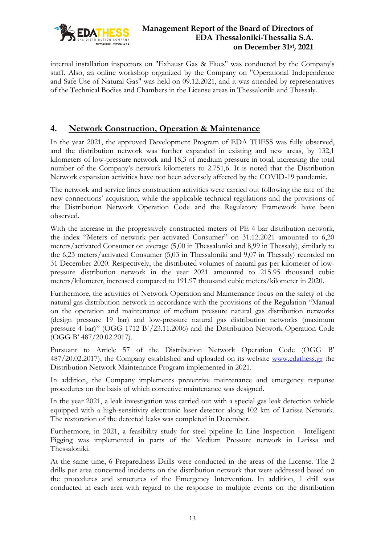

internal installation inspectors on "Exhaust Gas & Flues" was conducted by the Company's staff. Also, an online workshop organized by the Company on "Operational Independence and Safe Use of Natural Gas" was held on 09.12.2021, and it was attended by representatives of the Technical Bodies and Chambers in the License areas in Thessaloniki and Thessaly.

# <span id="page-12-0"></span>**4. Network Construction, Operation & Maintenance**

In the year 2021, the approved Development Program of EDA THESS was fully observed, and the distribution network was further expanded in existing and new areas, by 132,1 kilometers of low-pressure network and 18,3 of medium pressure in total, increasing the total number of the Company's network kilometers to 2.751,6. It is noted that the Distribution Network expansion activities have not been adversely affected by the COVID-19 pandemic.

The network and service lines construction activities were carried out following the rate of the new connections' acquisition, while the applicable technical regulations and the provisions of the Distribution Network Operation Code and the Regulatory Framework have been observed.

With the increase in the progressively constructed meters of PE 4 bar distribution network, the index "Meters of network per activated Consumer" on 31.12.2021 amounted to 6,20 meters/activated Consumer on average (5,00 in Thessaloniki and 8,99 in Thessaly), similarly to the 6,23 meters/activated Consumer (5,03 in Thessaloniki and 9,07 in Thessaly) recorded on 31 December 2020. Respectively, the distributed volumes of natural gas per kilometer of lowpressure distribution network in the year 2021 amounted to 215.95 thousand cubic meters/kilometer, increased compared to 191.97 thousand cubic meters/kilometer in 2020.

Furthermore, the activities of Network Operation and Maintenance focus on the safety of the natural gas distribution network in accordance with the provisions of the Regulation "Manual on the operation and maintenance of medium pressure natural gas distribution networks (design pressure 19 bar) and low-pressure natural gas distribution networks (maximum pressure 4 bar)" (OGG 1712 Β΄/23.11.2006) and the Distribution Network Operation Code (OGG Β' 487/20.02.2017).

Pursuant to Article 57 of the Distribution Network Operation Code (OGG Β' 487/20.02.2017), the Company established and uploaded on its website [www.edathess.gr](http://www.edathess.gr/) the Distribution Network Maintenance Program implemented in 2021.

In addition, the Company implements preventive maintenance and emergency response procedures on the basis of which corrective maintenance was designed.

In the year 2021, a leak investigation was carried out with a special gas leak detection vehicle equipped with a high-sensitivity electronic laser detector along 102 km of Larissa Network. The restoration of the detected leaks was completed in December.

Furthermore, in 2021, a feasibility study for steel pipeline In Line Inspection - Intelligent Pigging was implemented in parts of the Medium Pressure network in Larissa and Thessaloniki.

At the same time, 6 Preparedness Drills were conducted in the areas of the License. The 2 drills per area concerned incidents on the distribution network that were addressed based on the procedures and structures of the Emergency Intervention. In addition, 1 drill was conducted in each area with regard to the response to multiple events on the distribution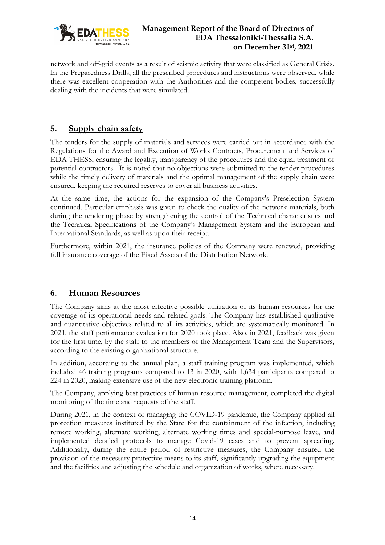

network and off-grid events as a result of seismic activity that were classified as General Crisis. In the Preparedness Drills, all the prescribed procedures and instructions were observed, while there was excellent cooperation with the Authorities and the competent bodies, successfully dealing with the incidents that were simulated.

# <span id="page-13-0"></span>**5. Supply chain safety**

The tenders for the supply of materials and services were carried out in accordance with the Regulations for the Award and Execution of Works Contracts, Procurement and Services of EDA THESS, ensuring the legality, transparency of the procedures and the equal treatment of potential contractors. It is noted that no objections were submitted to the tender procedures while the timely delivery of materials and the optimal management of the supply chain were ensured, keeping the required reserves to cover all business activities.

At the same time, the actions for the expansion of the Company's Preselection System continued. Particular emphasis was given to check the quality of the network materials, both during the tendering phase by strengthening the control of the Technical characteristics and the Technical Specifications of the Company's Management System and the European and International Standards, as well as upon their receipt.

Furthermore, within 2021, the insurance policies of the Company were renewed, providing full insurance coverage of the Fixed Assets of the Distribution Network.

# <span id="page-13-1"></span>**6. Human Resources**

The Company aims at the most effective possible utilization of its human resources for the coverage of its operational needs and related goals. The Company has established qualitative and quantitative objectives related to all its activities, which are systematically monitored. In 2021, the staff performance evaluation for 2020 took place. Also, in 2021, feedback was given for the first time, by the staff to the members of the Management Team and the Supervisors, according to the existing organizational structure.

In addition, according to the annual plan, a staff training program was implemented, which included 46 training programs compared to 13 in 2020, with 1,634 participants compared to 224 in 2020, making extensive use of the new electronic training platform.

The Company, applying best practices of human resource management, completed the digital monitoring of the time and requests of the staff.

During 2021, in the context of managing the COVID-19 pandemic, the Company applied all protection measures instituted by the State for the containment of the infection, including remote working, alternate working, alternate working times and special-purpose leave, and implemented detailed protocols to manage Covid-19 cases and to prevent spreading. Additionally, during the entire period of restrictive measures, the Company ensured the provision of the necessary protective means to its staff, significantly upgrading the equipment and the facilities and adjusting the schedule and organization of works, where necessary.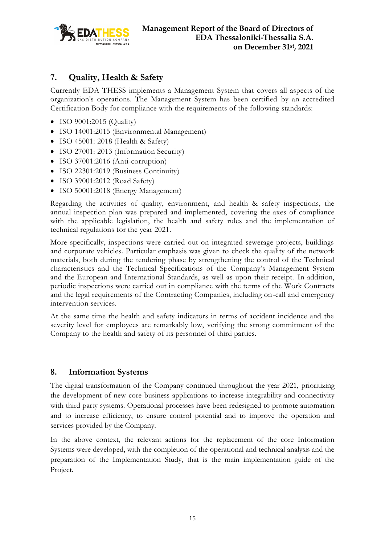

# <span id="page-14-0"></span>**7. Quality, Health & Safety**

Currently EDA THESS implements a Management System that covers all aspects of the organization's operations. The Management System has been certified by an accredited Certification Body for compliance with the requirements of the following standards:

- ISO 9001:2015 (Quality)
- ISO 14001:2015 (Environmental Management)
- ISO 45001: 2018 (Health & Safety)
- ISO 27001: 2013 (Information Security)
- ISO 37001:2016 (Anti-corruption)
- ISO 22301:2019 (Business Continuity)
- ISO 39001:2012 (Road Safety)
- ISO 50001:2018 (Energy Management)

Regarding the activities of quality, environment, and health & safety inspections, the annual inspection plan was prepared and implemented, covering the axes of compliance with the applicable legislation, the health and safety rules and the implementation of technical regulations for the year 2021.

More specifically, inspections were carried out on integrated sewerage projects, buildings and corporate vehicles. Particular emphasis was given to check the quality of the network materials, both during the tendering phase by strengthening the control of the Technical characteristics and the Technical Specifications of the Company's Management System and the European and International Standards, as well as upon their receipt. In addition, periodic inspections were carried out in compliance with the terms of the Work Contracts and the legal requirements of the Contracting Companies, including on-call and emergency intervention services.

At the same time the health and safety indicators in terms of accident incidence and the severity level for employees are remarkably low, verifying the strong commitment of the Company to the health and safety of its personnel of third parties.

## <span id="page-14-1"></span>**8. Information Systems**

The digital transformation of the Company continued throughout the year 2021, prioritizing the development of new core business applications to increase integrability and connectivity with third party systems. Operational processes have been redesigned to promote automation and to increase efficiency, to ensure control potential and to improve the operation and services provided by the Company.

In the above context, the relevant actions for the replacement of the core Information Systems were developed, with the completion of the operational and technical analysis and the preparation of the Implementation Study, that is the main implementation guide of the Project.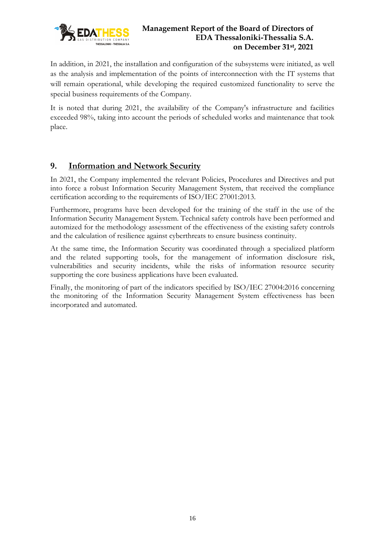

In addition, in 2021, the installation and configuration of the subsystems were initiated, as well as the analysis and implementation of the points of interconnection with the IT systems that will remain operational, while developing the required customized functionality to serve the special business requirements of the Company.

It is noted that during 2021, the availability of the Company's infrastructure and facilities exceeded 98%, taking into account the periods of scheduled works and maintenance that took place.

# <span id="page-15-0"></span>**9. Information and Network Security**

In 2021, the Company implemented the relevant Policies, Procedures and Directives and put into force a robust Information Security Management System, that received the compliance certification according to the requirements of ISO/IEC 27001:2013.

Furthermore, programs have been developed for the training of the staff in the use of the Information Security Management System. Technical safety controls have been performed and automized for the methodology assessment of the effectiveness of the existing safety controls and the calculation of resilience against cyberthreats to ensure business continuity.

At the same time, the Information Security was coordinated through a specialized platform and the related supporting tools, for the management of information disclosure risk, vulnerabilities and security incidents, while the risks of information resource security supporting the core business applications have been evaluated.

Finally, the monitoring of part of the indicators specified by ISO/IEC 27004:2016 concerning the monitoring of the Information Security Management System effectiveness has been incorporated and automated.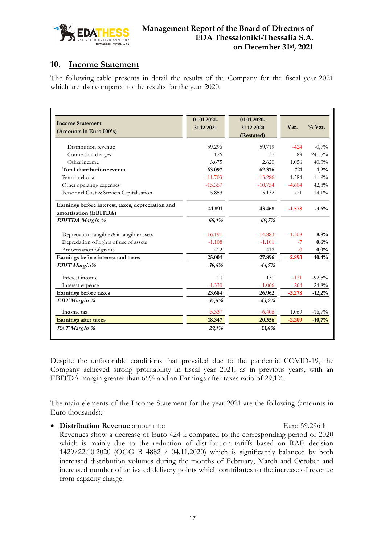

## <span id="page-16-0"></span>**10. Income Statement**

The following table presents in detail the results of the Company for the fiscal year 2021 which are also compared to the results for the year 2020.

| <b>Income Statement</b><br>(Amounts in Euro 000's)                         | 01.01.2021-<br>31.12.2021 | 01.01.2020-<br>31.12.2020<br>(Restated) | Var.     | $\%$ Var. |
|----------------------------------------------------------------------------|---------------------------|-----------------------------------------|----------|-----------|
| Distribution revenue                                                       | 59.296                    | 59.719                                  | $-424$   | $-0.7%$   |
| Connection charges                                                         | 126                       | 37                                      | 89       | 241,5%    |
| Other income                                                               | 3.675                     | 2.620                                   | 1.056    | 40,3%     |
| Total distribution revenue                                                 | 63.097                    | 62.376                                  | 721      | 1,2%      |
| Personnel cost                                                             | $-11.703$                 | $-13.286$                               | 1.584    | $-11,9%$  |
| Other operating expenses                                                   | $-15.357$                 | $-10.754$                               | $-4.604$ | 42,8%     |
| Personnel Cost & Services Capitalisation                                   | 5.853                     | 5.132                                   | 721      | 14,1%     |
| Earnings before interest, taxes, depreciation and<br>amortisation (EBITDA) | 41.891                    | 43.468                                  | $-1.578$ | $-3,6%$   |
| <b>EBITDA Margin %</b>                                                     | 66,4%                     | 69,7%                                   |          |           |
| Depreciation tangible & intangible assets                                  | $-16.191$                 | $-14.883$                               | $-1.308$ | 8,8%      |
| Depredation of rights of use of assets                                     | $-1.108$                  | $-1.101$                                | $-7$     | 0,6%      |
| Amortization of grants                                                     | 412                       | 412                                     | $-0$     | $0,0\%$   |
| Earnings before interest and taxes                                         | 25.004                    | 27.896                                  | $-2.893$ | $-10,4%$  |
| <b>EBIT</b> Margin%                                                        | 39,6%                     | 44,7%                                   |          |           |
| Interest income                                                            | 10                        | 131                                     | $-121$   | $-92,5%$  |
| Interest expense                                                           | $-1.330$                  | $-1.066$                                | $-264$   | 24,8%     |
| Earnings before taxes                                                      | 23.684                    | 26.962                                  | $-3.278$ | $-12,2%$  |
| <b>EBT</b> Margin %                                                        | 37,5%                     | 43,2%                                   |          |           |
| Income tax                                                                 | $-5.337$                  | $-6.406$                                | 1.069    | $-16,7%$  |
| <b>Earnings after taxes</b>                                                | 18.347                    | 20.556                                  | $-2.209$ | $-10,7%$  |
| EAT Margin %                                                               | 29,1%                     | 33,0%                                   |          |           |

Despite the unfavorable conditions that prevailed due to the pandemic COVID-19, the Company achieved strong profitability in fiscal year 2021, as in previous years, with an EBITDA margin greater than 66% and an Earnings after taxes ratio of 29,1%.

The main elements of the Income Statement for the year 2021 are the following (amounts in Euro thousands):

• **Distribution Revenue** amount to: Euro 59.296 k

Revenues show a decrease of Euro 424 k compared to the corresponding period of 2020 which is mainly due to the reduction of distribution tariffs based on RAE decision 1429/22.10.2020 (OGG B 4882 / 04.11.2020) which is significantly balanced by both increased distribution volumes during the months of February, March and October and increased number of activated delivery points which contributes to the increase of revenue from capacity charge.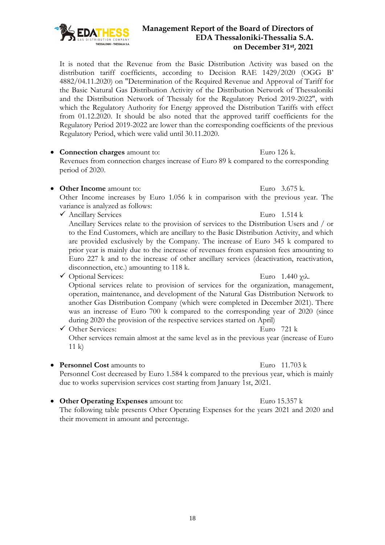It is noted that the Revenue from the Basic Distribution Activity was based on the distribution tariff coefficients, according to Decision RAE 1429/2020 (OGG B' 4882/04.11.2020) on "Determination of the Required Revenue and Approval of Tariff for the Basic Natural Gas Distribution Activity of the Distribution Network of Thessaloniki and the Distribution Network of Thessaly for the Regulatory Period 2019-2022", with which the Regulatory Authority for Energy approved the Distribution Tariffs with effect from 01.12.2020. It should be also noted that the approved tariff coefficients for the Regulatory Period 2019-2022 are lower than the corresponding coefficients of the previous Regulatory Period, which were valid until 30.11.2020.

• **Connection charges** amount to: Euro 126 k.

Revenues from connection charges increase of Euro 89 k compared to the corresponding period of 2020.

• **Other Income** amount to: Euro 3.675 k.

Other Income increases by Euro 1.056 k in comparison with the previous year. The variance is analyzed as follows:

✓ Ancillary Services Euro 1.514 k

Ancillary Services relate to the provision of services to the Distribution Users and / or to the End Customers, which are ancillary to the Basic Distribution Activity, and which are provided exclusively by the Company. The increase of Euro 345 k compared to prior year is mainly due to the increase of revenues from expansion fees amounting to Euro 227 k and to the increase of other ancillary services (deactivation, reactivation, disconnection, etc.) amounting to 118 k.

✓ Optional Services: Euro 1.440 χιλ.

Optional services relate to provision of services for the organization, management, operation, maintenance, and development of the Natural Gas Distribution Network to another Gas Distribution Company (which were completed in December 2021). There was an increase of Euro 700 k compared to the corresponding year of 2020 (since during 2020 the provision of the respective services started on April)

- $\checkmark$  Other Services: Euro 721 k Other services remain almost at the same level as in the previous year (increase of Euro 11 k)
- **Personnel Cost** amounts to Euro 11.703 k

Personnel Cost decreased by Euro 1.584 k compared to the previous year, which is mainly due to works supervision services cost starting from January 1st, 2021.

• **Other Operating Expenses** amount to: Euro 15.357 k The following table presents Other Operating Expenses for the years 2021 and 2020 and their movement in amount and percentage.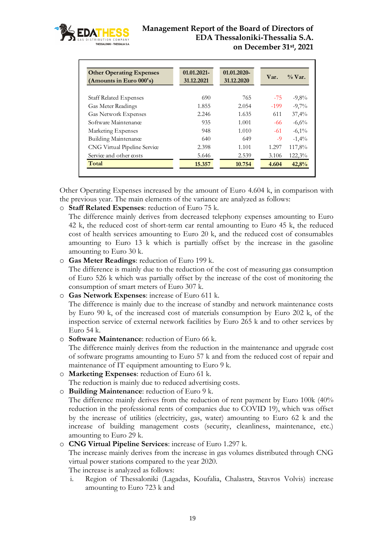

| <b>Other Operating Expenses</b><br>(Amounts in Euro 000's) | 01.01.2021-<br>31.12.2021 | 01.01.2020-<br>31.12.2020 | Var.   | $\%$ Var. |
|------------------------------------------------------------|---------------------------|---------------------------|--------|-----------|
| <b>Staff Related Expenses</b>                              | 690                       | 765                       | $-75$  | $-9,8%$   |
| Gas Meter Readings                                         | 1.855                     | 2.054                     | $-199$ | $-9.7\%$  |
| <b>Gas Network Expenses</b>                                | 2.246                     | 1.635                     | 611    | 37,4%     |
| Software Maintenance                                       | 935                       | 1.001                     | -66    | $-6,6%$   |
| Marketing Expenses                                         | 948                       | 1.010                     | $-61$  | $-6.1\%$  |
| Building Maintenance                                       | 640                       | 649                       | -9     | $-1.4\%$  |
| CNG Virtual Pipeline Service                               | 2.398                     | 1.101                     | 1.297  | 117,8%    |
| Service and other costs                                    | 5.646                     | 2.539                     | 3.106  | 122,3%    |
| Total                                                      | 15.357                    | 10.754                    | 4.604  | 42,8%     |

Other Operating Expenses increased by the amount of Euro 4.604 k, in comparison with the previous year. The main elements of the variance are analyzed as follows:

o **Staff Related Expenses**: reduction of Euro 75 k.

The difference mainly derives from decreased telephony expenses amounting to Euro 42 k, the reduced cost of short-term car rental amounting to Euro 45 k, the reduced cost of health services amounting to Euro 20 k, and the reduced cost of consumables amounting to Euro 13 k which is partially offset by the increase in the gasoline amounting to Euro 30 k.

o **Gas Meter Readings**: reduction of Euro 199 k.

The difference is mainly due to the reduction of the cost of measuring gas consumption of Euro 526 k which was partially offset by the increase of the cost of monitoring the consumption of smart meters of Euro 307 k.

o **Gas Network Expenses**: increase of Euro 611 k.

The difference is mainly due to the increase of standby and network maintenance costs by Euro 90 k, of the increased cost of materials consumption by Euro 202 k, of the inspection service of external network facilities by Euro 265 k and to other services by Euro 54 k.

o **Software Maintenance**: reduction of Euro 66 k.

The difference mainly derives from the reduction in the maintenance and upgrade cost of software programs amounting to Euro 57 k and from the reduced cost of repair and maintenance of IT equipment amounting to Euro 9 k.

o **Marketing Expenses**: reduction of Euro 61 k.

The reduction is mainly due to reduced advertising costs.

o **Building Maintenance**: reduction of Euro 9 k.

The difference mainly derives from the reduction of rent payment by Euro 100k (40% reduction in the professional rents of companies due to COVID 19), which was offset by the increase of utilities (electricity, gas, water) amounting to Euro 62 k and the increase of building management costs (security, cleanliness, maintenance, etc.) amounting to Euro 29 k.

o **CNG Virtual Pipeline Services**: increase of Euro 1.297 k.

The increase mainly derives from the increase in gas volumes distributed through CNG virtual power stations compared to the year 2020.

The increase is analyzed as follows:

i. Region of Thessaloniki (Lagadas, Koufalia, Chalastra, Stavros Volvis) increase amounting to Euro 723 k and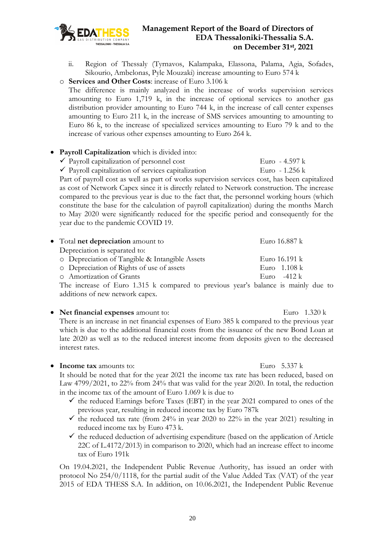

ii. Region of Thessaly (Tyrnavos, Kalampaka, Elassona, Palama, Agia, Sofades, Sikourio, Ambelonas, Pyle Mouzaki) increase amounting to Euro 574 k

o **Services and Other Costs**: increase of Euro 3.106 k

The difference is mainly analyzed in the increase of works supervision services amounting to Euro 1,719 k, in the increase of optional services to another gas distribution provider amounting to Euro 744 k, in the increase of call center expenses amounting to Euro 211 k, in the increase of SMS services amounting to amounting to Euro 86 k, to the increase of specialized services amounting to Euro 79 k and to the increase of various other expenses amounting to Euro 264 k.

#### • **Payroll Capitalization** which is divided into:

- $\checkmark$  Payroll capitalization of personnel cost Euro 4.597 k
- $\checkmark$  Payroll capitalization of services capitalization Euro 1.256 k

Part of payroll cost as well as part of works supervision services cost, has been capitalized as cost of Network Capex since it is directly related to Network construction. The increase compared to the previous year is due to the fact that, the personnel working hours (which constitute the base for the calculation of payroll capitalization) during the months March to May 2020 were significantly reduced for the specific period and consequently for the year due to the pandemic COVID 19.

| • Total net depreciation amount to                                                | Euro 16.887 k           |  |
|-----------------------------------------------------------------------------------|-------------------------|--|
| Depreciation is separated to:                                                     |                         |  |
| O Depreciation of Tangible & Intangible Assets                                    | Euro $16.191 \text{ k}$ |  |
| o Depreciation of Rights of use of assets                                         | Euro $1.108 \text{ k}$  |  |
| o Amortization of Grants                                                          | Euro $-412 \text{ k}$   |  |
| The increase of Euro 1.315 k compared to previous year's balance is mainly due to |                         |  |

additions of new network capex. • **Net financial expenses** amount to: Euro 1.320 k

There is an increase in net financial expenses of Euro 385 k compared to the previous year which is due to the additional financial costs from the issuance of the new Bond Loan at late 2020 as well as to the reduced interest income from deposits given to the decreased interest rates.

#### • **Income tax** amounts to: Euro 5.337 k

It should be noted that for the year 2021 the income tax rate has been reduced, based on Law 4799/2021, to 22% from 24% that was valid for the year 2020. In total, the reduction in the income tax of the amount of Euro 1.069 k is due to

- $\checkmark$  the reduced Earnings before Taxes (EBT) in the year 2021 compared to ones of the previous year, resulting in reduced income tax by Euro 787k
- $\checkmark$  the reduced tax rate (from 24% in year 2020 to 22% in the year 2021) resulting in reduced income tax by Euro 473 k.
- $\checkmark$  the reduced deduction of advertising expenditure (based on the application of Article 22C of L.4172/2013) in comparison to 2020, which had an increase effect to income tax of Euro 191k

On 19.04.2021, the Independent Public Revenue Authority, has issued an order with protocol No 254/0/1118, for the partial audit of the Value Added Tax (VAT) of the year 2015 of EDA THESS S.A. In addition, on 10.06.2021, the Independent Public Revenue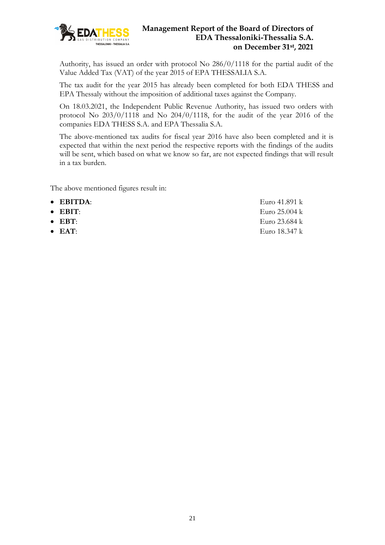

Authority, has issued an order with protocol No 286/0/1118 for the partial audit of the Value Added Tax (VAT) of the year 2015 of EPA THESSALIA S.A.

The tax audit for the year 2015 has already been completed for both EDA THESS and EPA Thessaly without the imposition of additional taxes against the Company.

On 18.03.2021, the Independent Public Revenue Authority, has issued two orders with protocol No 203/0/1118 and No 204/0/1118, for the audit of the year 2016 of the companies EDA THESS S.A. and EPA Thessalia S.A.

The above-mentioned tax audits for fiscal year 2016 have also been completed and it is expected that within the next period the respective reports with the findings of the audits will be sent, which based on what we know so far, are not expected findings that will result in a tax burden.

The above mentioned figures result in:

• **EBITDA**: Euro 41.891 k • **EBIT**: Euro 25.004 k • **EBT**: Euro 23.684 k • **EAT**: Euro 18.347 k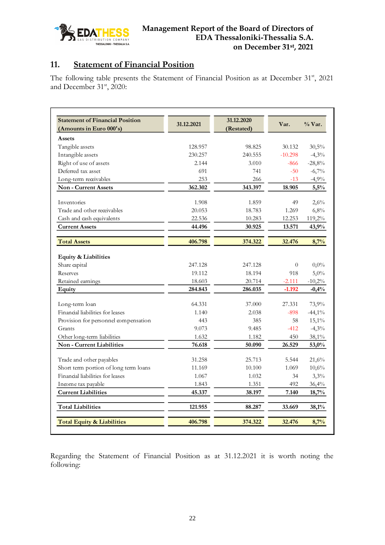

# <span id="page-21-0"></span>**11. Statement of Financial Position**

The following table presents the Statement of Financial Position as at December 31st, 2021 and December  $31<sup>st</sup>$ , 2020:

| <b>Statement of Financial Position</b><br>(Amounts in Euro 000's) | 31.12.2021 | 31.12.2020<br>(Restated) | Var.      | $\%$ Var. |
|-------------------------------------------------------------------|------------|--------------------------|-----------|-----------|
| Assets                                                            |            |                          |           |           |
| Tangible assets                                                   | 128.957    | 98.825                   | 30.132    | 30,5%     |
| Intangible assets                                                 | 230.257    | 240.555                  | $-10.298$ | $-4,3%$   |
| Right of use of assets                                            | 2.144      | 3.010                    | $-866$    | $-28,8%$  |
| Deferred tax asset                                                | 691        | 741                      | $-50$     | $-6,7%$   |
| Long-term receivables                                             | 253        | 266                      | $-13$     | $-4,9%$   |
| <b>Non-Current Assets</b>                                         | 362.302    | 343.397                  | 18.905    | 5,5%      |
| Inventories                                                       | 1.908      | 1.859                    | 49        | 2,6%      |
| Trade and other receivables                                       | 20.053     | 18.783                   | 1.269     | 6,8%      |
| Cash and cash equivalents                                         | 22.536     | 10.283                   | 12.253    | 119,2%    |
| <b>Current Assets</b>                                             | 44.496     | 30.925                   | 13.571    | 43,9%     |
| <b>Total Assets</b>                                               | 406.798    | 374.322                  | 32.476    | 8,7%      |
| Equity & Liabilities                                              |            |                          |           |           |
| Share capital                                                     | 247.128    | 247.128                  | $\theta$  | $0,0\%$   |
| Reserves                                                          | 19.112     | 18.194                   | 918       | 5,0%      |
| Retained earnings                                                 | 18.603     | 20.714                   | $-2.111$  | $-10,2%$  |
| Equity                                                            | 284.843    | 286.035                  | $-1.192$  | $-0,4%$   |
| Long-term loan                                                    | 64.331     | 37.000                   | 27.331    | 73,9%     |
| Financial liabilities for leases                                  | 1.140      | 2.038                    | $-898$    | $-44,1\%$ |
| Provision for personnel compensation                              | 443        | 385                      | 58        | 15,1%     |
| Grants                                                            | 9.073      | 9.485                    | $-412$    | $-4,3%$   |
| Other long-term liabilities                                       | 1.632      | 1.182                    | 450       | 38,1%     |
| Non - Current Liabilities                                         | 76.618     | 50.090                   | 26.529    | 53,0%     |
| Trade and other payables                                          | 31.258     | 25.713                   | 5.544     | 21,6%     |
| Short term portion of long term loans                             | 11.169     | 10.100                   | 1.069     | 10,6%     |
| Financial liabilities for leases                                  | 1.067      | 1.032                    | 34        | 3,3%      |
| Income tax payable                                                | 1.843      | 1.351                    | 492       | 36,4%     |
| <b>Current Liabilities</b>                                        | 45.337     | 38.197                   | 7.140     | 18,7%     |
| <b>Total Liabilities</b>                                          | 121.955    | 88.287                   | 33.669    | 38,1%     |
| <b>Total Equity &amp; Liabilities</b>                             | 406.798    | 374.322                  | 32.476    | 8,7%      |

Regarding the Statement of Financial Position as at 31.12.2021 it is worth noting the following: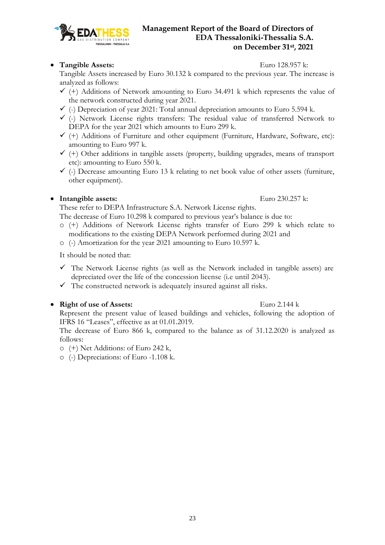## • **Tangible Assets:** Euro 128.957 k:

THESSALONIKI - THESSALIA S.A

Tangible Assets increased by Euro 30.132 k compared to the previous year. The increase is analyzed as follows:

- $\checkmark$  (+) Additions of Network amounting to Euro 34.491 k which represents the value of the network constructed during year 2021.
- $\checkmark$  (-) Depreciation of year 2021: Total annual depreciation amounts to Euro 5.594 k.
- $\checkmark$  (-) Network License rights transfers: The residual value of transferred Network to DEPA for the year 2021 which amounts to Euro 299 k.
- $\checkmark$  (+) Additions of Furniture and other equipment (Furniture, Hardware, Software, etc): amounting to Euro 997 k.
- $\checkmark$  (+) Other additions in tangible assets (property, building upgrades, means of transport etc): amounting to Euro 550 k.
- $\checkmark$  (-) Decrease amounting Euro 13 k relating to net book value of other assets (furniture, other equipment).

## • **Intangible assets:** Euro 230.257 k:

These refer to DEPA Infrastructure S.A. Network License rights.

The decrease of Euro 10.298 k compared to previous year's balance is due to:

- o (+) Additions of Network License rights transfer of Euro 299 k which relate to modifications to the existing DEPA Network performed during 2021 and
- o (-) Amortization for the year 2021 amounting to Euro 10.597 k.

It should be noted that:

- $\checkmark$  The Network License rights (as well as the Network included in tangible assets) are depreciated over the life of the concession license (i.e until 2043).
- $\checkmark$  The constructed network is adequately insured against all risks.

## • **Right of use of Assets:** Euro 2.144 k

Represent the present value of leased buildings and vehicles, following the adoption of IFRS 16 "Leases", effective as at 01.01.2019.

The decrease of Euro 866 k, compared to the balance as of 31.12.2020 is analyzed as follows:

- o (+) Net Additions: of Euro 242 k,
- o (-) Depreciations: of Euro -1.108 k.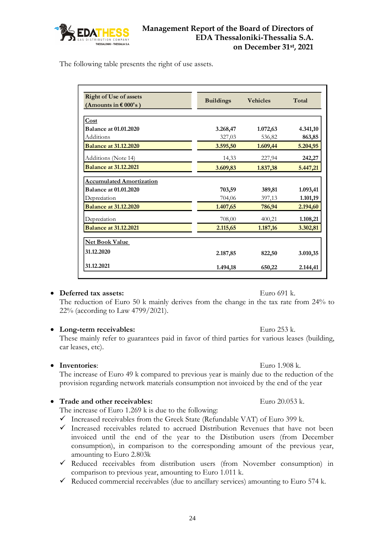

The following table presents the right of use assets.

| <b>Right of Use of assets</b><br>(Amounts in $\epsilon$ 000's) | <b>Buildings</b> | <b>Vehicles</b> | Total    |
|----------------------------------------------------------------|------------------|-----------------|----------|
| Cost                                                           |                  |                 |          |
| <b>Balance at 01.01.2020</b>                                   | 3.268,47         | 1.072,63        | 4.341,10 |
| Additions                                                      | 327,03           | 536,82          | 863,85   |
| <b>Balance at 31.12.2020</b>                                   | 3.595,50         | 1.609,44        | 5.204,95 |
| Additions (Note 14)                                            | 14,33            | 227,94          | 242,27   |
| <b>Balance at 31.12.2021</b>                                   | 3.609,83         | 1.837,38        | 5.447,21 |
| <b>Accumulated Amortization</b>                                |                  |                 |          |
| <b>Balance at 01.01.2020</b>                                   | 703,59           | 389,81          | 1.093,41 |
| Depredation                                                    | 704,06           | 397,13          | 1.101,19 |
| <b>Balance at 31.12.2020</b>                                   | 1.407,65         | 786,94          | 2.194,60 |
| Depredation                                                    | 708,00           | 400,21          | 1.108,21 |
| <b>Balance at 31.12.2021</b>                                   | 2.115,65         | 1.187,16        | 3.302,81 |
| <b>Net Book Value</b>                                          |                  |                 |          |
| 31.12.2020                                                     | 2.187,85         | 822,50          | 3.010,35 |
| 31.12.2021                                                     | 1.494,18         | 650,22          | 2.144,41 |

#### • **Deferred tax assets:** Euro 691 k.

The reduction of Euro 50 k mainly derives from the change in the tax rate from 24% to 22% (according to Law 4799/2021).

#### • **Long-term receivables:** Euro 253 k.

These mainly refer to guarantees paid in favor of third parties for various leases (building, car leases, etc).

#### • **Inventories**: Euro 1.908 k.

The increase of Euro 49 k compared to previous year is mainly due to the reduction of the provision regarding network materials consumption not invoiced by the end of the year

#### **Trade and other receivables:** Euro 20.053 k.

The increase of Euro 1.269 k is due to the following:

- $\checkmark$  Increased receivables from the Greek State (Refundable VAT) of Euro 399 k.
- ✓ Increased receivables related to accrued Distribution Revenues that have not been invoiced until the end of the year to the Distibution users (from December consumption), in comparison to the corresponding amount of the previous year, amounting to Euro 2.803k
- ✓ Reduced receivables from distribution users (from November consumption) in comparison to previous year, amounting to Euro 1.011 k.
- $\checkmark$  Reduced commercial receivables (due to ancillary services) amounting to Euro 574 k.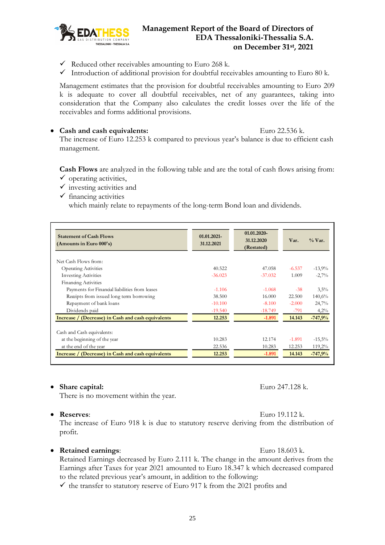

- $\checkmark$  Reduced other receivables amounting to Euro 268 k.
- $\checkmark$  Introduction of additional provision for doubtful receivables amounting to Euro 80 k.

Management estimates that the provision for doubtful receivables amounting to Euro 209 k is adequate to cover all doubtful receivables, net of any guarantees, taking into consideration that the Company also calculates the credit losses over the life of the receivables and forms additional provisions.

• Cash and cash equivalents: Euro 22.536 k.

The increase of Euro 12.253 k compared to previous year's balance is due to efficient cash management.

**Cash Flows** are analyzed in the following table and are the total of cash flows arising from:  $\checkmark$  operating activities,

- $\checkmark$  investing activities and
- $\checkmark$  financing activities

which mainly relate to repayments of the long-term Bond loan and dividends.

| <b>Statement of Cash Flows</b><br>(Amounts in Euro $000$ 's) | 01.01.2021-<br>31.12.2021 | 01.01.2020-<br>31.12.2020<br>(Restated) | Var.     | $\%$ Var. |
|--------------------------------------------------------------|---------------------------|-----------------------------------------|----------|-----------|
| Net Cash Flows from:                                         |                           |                                         |          |           |
| <b>Operating Activities</b>                                  | 40.522                    | 47.058                                  | $-6.537$ | $-13,9%$  |
| <b>Investing Activities</b>                                  | $-36.023$                 | $-37.032$                               | 1.009    | $-2,7%$   |
| Financing Activities                                         |                           |                                         |          |           |
| Payments for Financial liabilities from leases               | $-1.106$                  | $-1.068$                                | $-38$    | 3,5%      |
| Receipts from issued long term borrowing                     | 38.500                    | 16.000                                  | 22.500   | 140,6%    |
| Repayment of bank loans                                      | $-10.100$                 | $-8.100$                                | $-2.000$ | 24,7%     |
| Dividends paid                                               | $-19.540$                 | $-18.749$                               | $-791$   | $4,2\%$   |
| Increase / (Decrease) in Cash and cash equivalents           | 12.253                    | $-1.891$                                | 14.143   | $-747.9%$ |
| Cash and Cash equivalents:                                   |                           |                                         |          |           |
| at the beginning of the year                                 | 10.283                    | 12.174                                  | $-1.891$ | $-15,5%$  |
| at the end of the year                                       | 22.536                    | 10.283                                  | 12.253   | 119,2%    |
| Increase / (Decrease) in Cash and cash equivalents           | 12.253                    | $-1.891$                                | 14.143   | $-747.9%$ |

#### • **Share capital:** Euro 247.128 k.

There is no movement within the year.

• **Reserves**: Euro 19.112 k.

The increase of Euro 918 k is due to statutory reserve deriving from the distribution of profit.

#### • **Retained earnings**: Euro 18.603 k.

Retained Earnings decreased by Euro 2.111 k. The change in the amount derives from the Earnings after Taxes for year 2021 amounted to Euro 18.347 k which decreased compared to the related previous year's amount, in addition to the following:

 $\checkmark$  the transfer to statutory reserve of Euro 917 k from the 2021 profits and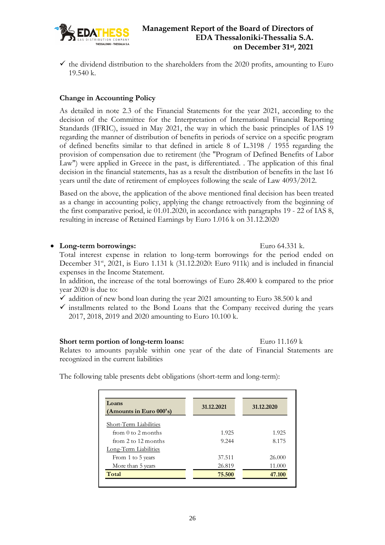

 $\checkmark$  the dividend distribution to the shareholders from the 2020 profits, amounting to Euro 19.540 k.

#### **Change in Accounting Policy**

As detailed in note 2.3 of the Financial Statements for the year 2021, according to the decision of the Committee for the Interpretation of International Financial Reporting Standards (IFRIC), issued in May 2021, the way in which the basic principles of IAS 19 regarding the manner of distribution of benefits in periods of service on a specific program of defined benefits similar to that defined in article 8 of L.3198 / 1955 regarding the provision of compensation due to retirement (the "Program of Defined Benefits of Labor Law") were applied in Greece in the past, is differentiated. . The application of this final decision in the financial statements, has as a result the distribution of benefits in the last 16 years until the date of retirement of employees following the scale of Law 4093/2012.

Based on the above, the application of the above mentioned final decision has been treated as a change in accounting policy, applying the change retroactively from the beginning of the first comparative period, ie 01.01.2020, in accordance with paragraphs 19 - 22 of IAS 8, resulting in increase of Retained Earnings by Euro 1.016 k on 31.12.2020

#### • **Long-term borrowings:** Euro 64.331 k.

Total interest expense in relation to long-term borrowings for the period ended on December 31<sup>st</sup>, 2021, is Euro 1.131 k (31.12.2020: Euro 911k) and is included in financial expenses in the Income Statement.

In addition, the increase of the total borrowings of Euro 28.400 k compared to the prior year 2020 is due to:

- $\checkmark$  addition of new bond loan during the year 2021 amounting to Euro 38.500 k and
- $\checkmark$  installments related to the Bond Loans that the Company received during the years 2017, 2018, 2019 and 2020 amounting to Euro 10.100 k.

#### **Short term portion of long-term loans:** Euro 11.169 k

Relates to amounts payable within one year of the date of Financial Statements are recognized in the current liabilities

The following table presents debt obligations (short-term and long-term):

| Loans<br>(Amounts in Euro $000$ 's) | 31.12.2021 | 31.12.2020 |
|-------------------------------------|------------|------------|
| Short-Term Liabilities              |            |            |
| from 0 to 2 months                  | 1.925      | 1.925      |
| from 2 to 12 months                 | 9.244      | 8.175      |
| Long-Term Liabilities               |            |            |
| From 1 to 5 years                   | 37.511     | 26,000     |
| More than 5 years                   | 26.819     | 11.000     |
| Total                               | 75.500     | 47.100     |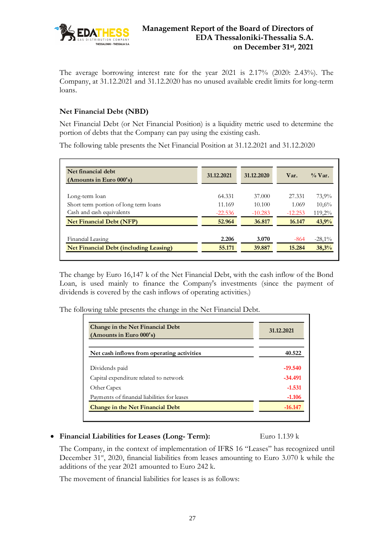

The average borrowing interest rate for the year 2021 is 2.17% (2020: 2.43%). The Company, at 31.12.2021 and 31.12.2020 has no unused available credit limits for long-term loans.

#### **Net Financial Debt (NBD)**

Net Financial Debt (or Net Financial Position) is a liquidity metric used to determine the portion of debts that the Company can pay using the existing cash.

The following table presents the Net Financial Position at 31.12.2021 and 31.12.2020

| Net financial debt<br>(Amounts in Euro $000$ 's) | 31.12.2021 | 31.12.2020 | Var.      | $\%$ Var. |
|--------------------------------------------------|------------|------------|-----------|-----------|
| Long-term loan                                   | 64.331     | 37,000     | 27.331    | 73,9%     |
| Short term portion of long term loans            | 11.169     | 10.100     | 1.069     | 10,6%     |
| Cash and cash equivalents                        | $-22.536$  | $-10.283$  | $-12.253$ | $119,2\%$ |
| <b>Net Financial Debt (NFP)</b>                  | 52.964     | 36.817     | 16.147    | 43,9%     |
| Financial Leasing                                | 2.206      | 3.070      | $-864$    | $-28,1\%$ |
| <b>Net Financial Debt (including Leasing)</b>    | 55.171     | 39.887     | 15.284    | 38,3%     |

The change by Euro 16,147 k of the Net Financial Debt, with the cash inflow of the Bond Loan, is used mainly to finance the Company's investments (since the payment of dividends is covered by the cash inflows of operating activities.)

The following table presents the change in the Net Financial Debt.

| Change in the Net Financial Debt<br>(Amounts in Euro 000's) | 31.12.2021 |
|-------------------------------------------------------------|------------|
| Net cash inflows from operating activities                  | 40.522     |
| Dividends paid                                              | $-19.540$  |
| Capital expenditure related to network                      | $-34.491$  |
| Other Capex                                                 | $-1.531$   |
| Payments of financial liabilities for leases                | $-1.106$   |
| <b>Change in the Net Financial Debt</b>                     | $-16.147$  |

#### • **Financial Liabilities for Leases (Long- Term):** Euro 1.139 k

The Company, in the context of implementation of IFRS 16 "Leases" has recognized until December 31<sup>st</sup>, 2020, financial liabilities from leases amounting to Euro 3.070 k while the additions of the year 2021 amounted to Euro 242 k.

The movement of financial liabilities for leases is as follows: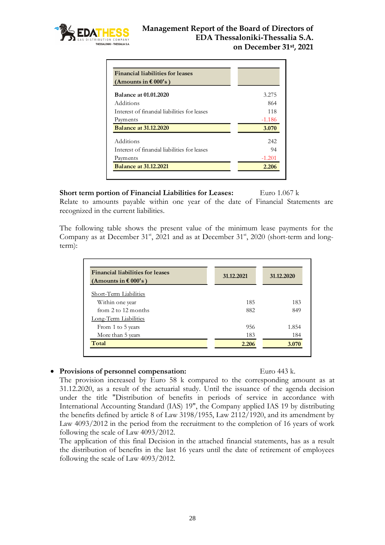

| <b>Financial liabilities for leases</b><br>(Amounts in $\epsilon$ 000's) |          |
|--------------------------------------------------------------------------|----------|
| <b>Balance at 01.01.2020</b>                                             | 3.275    |
| Additions                                                                | 864      |
| Interest of financial liabilities for leases                             | 118      |
| Payments                                                                 | $-1.186$ |
| <b>Balance at 31.12.2020</b>                                             | 3.070    |
| Additions                                                                | 242      |
| Interest of financial liabilities for leases                             | 94       |
| Payments                                                                 | $-1.201$ |
| <b>Balance at 31.12.2021</b>                                             | 2.206    |

**Short term portion of Financial Liabilities for Leases:** Euro 1.067 k Relate to amounts payable within one year of the date of Financial Statements are recognized in the current liabilities.

The following table shows the present value of the minimum lease payments for the Company as at December 31<sup>st</sup>, 2021 and as at December 31<sup>st</sup>, 2020 (short-term and longterm):

| <b>Financial liabilities for leases</b><br>(Amounts in $\epsilon$ 000's) | 31.12.2021 | 31.12.2020 |
|--------------------------------------------------------------------------|------------|------------|
| Short-Term Liabilities                                                   |            |            |
| Within one year                                                          | 185        | 183        |
| from 2 to 12 months                                                      | 882        | 849        |
| Long-Term Liabilities                                                    |            |            |
| From 1 to 5 years                                                        | 956        | 1.854      |
| More than 5 years                                                        | 183        | 184        |
| Total                                                                    | 2.206      | 3.070      |

#### • **Provisions of personnel compensation:** Euro 443 k.

The provision increased by Euro 58 k compared to the corresponding amount as at 31.12.2020, as a result of the actuarial study. Until the issuance of the agenda decision under the title "Distribution of benefits in periods of service in accordance with International Accounting Standard (IAS) 19", the Company applied IAS 19 by distributing the benefits defined by article 8 of Law 3198/1955, Law 2112/1920, and its amendment by Law 4093/2012 in the period from the recruitment to the completion of 16 years of work following the scale of Law 4093/2012.

The application of this final Decision in the attached financial statements, has as a result the distribution of benefits in the last 16 years until the date of retirement of employees following the scale of Law 4093/2012.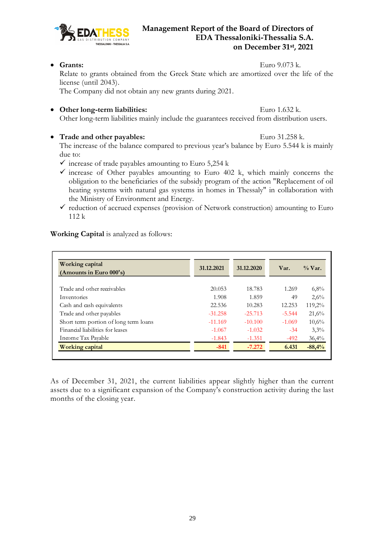

29

## **Management Report of the Board of Directors of EDA Thessaloniki-Thessalia S.A. on December 31st , 2021**

• Grants: Euro 9.073 k.

 $\Gamma$ 

Relate to grants obtained from the Greek State which are amortized over the life of the license (until 2043).

The Company did not obtain any new grants during 2021.

• Other long-term liabilities: Euro 1.632 k.

Other long-term liabilities mainly include the guarantees received from distribution users.

## • **Trade and other payables:** Euro 31.258 k.

The increase of the balance compared to previous year's balance by Euro 5.544 k is mainly due to:

- $\checkmark$  increase of trade payables amounting to Euro 5,254 k
- $\checkmark$  increase of Other payables amounting to Euro 402 k, which mainly concerns the obligation to the beneficiaries of the subsidy program of the action "Replacement of oil heating systems with natural gas systems in homes in Thessaly" in collaboration with the Ministry of Environment and Energy.
- $\checkmark$  reduction of accrued expenses (provision of Network construction) amounting to Euro 112 k

**Working Capital** is analyzed as follows:

| Working capital<br>(Amounts in Euro $000$ 's) | 31.12.2021 | 31.12.2020 | Var.     | $\%$ Var. |
|-----------------------------------------------|------------|------------|----------|-----------|
|                                               |            |            |          |           |
| Trade and other receivables                   | 20.053     | 18.783     | 1.269    | 6,8%      |
| Inventories                                   | 1.908      | 1.859      | 49       | 2,6%      |
| Cash and cash equivalents                     | 22.536     | 10.283     | 12.253   | 119,2%    |
| Trade and other payables                      | $-31.258$  | $-25.713$  | $-5.544$ | 21,6%     |
| Short term portion of long term loans         | $-11.169$  | $-10.100$  | $-1.069$ | 10,6%     |
| Financial liabilities for leases              | $-1.067$   | $-1.032$   | $-34$    | 3,3%      |
| Income Tax Payable                            | $-1.843$   | $-1.351$   | $-492$   | 36,4%     |
| Working capital                               | $-841$     | $-7.272$   | 6.431    | $-88,4%$  |

As of December 31, 2021, the current liabilities appear slightly higher than the current assets due to a significant expansion of the Company's construction activity during the last months of the closing year.

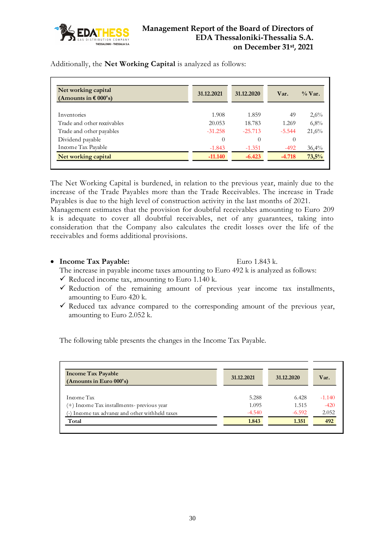

Additionally, the **Net Working Capital** is analyzed as follows:

| Net working capital<br>(Amounts in $\epsilon$ 000's) | 31.12.2021 | 31.12.2020 | Var.     | $\%$ Var. |
|------------------------------------------------------|------------|------------|----------|-----------|
|                                                      |            |            |          |           |
| Inventories                                          | 1.908      | 1.859      | 49       | 2,6%      |
| Trade and other receivables                          | 20.053     | 18.783     | 1.269    | 6,8%      |
| Trade and other payables                             | $-31.258$  | $-25.713$  | $-5.544$ | 21,6%     |
| Dividend payable                                     | $\theta$   | $\Omega$   | $\theta$ |           |
| Income Tax Payable                                   | $-1.843$   | $-1.351$   | $-492$   | 36,4%     |
| Net working capital                                  | $-11.140$  | $-6.423$   | $-4.718$ | 73,5%     |

The Net Working Capital is burdened, in relation to the previous year, mainly due to the increase of the Trade Payables more than the Trade Receivables. The increase in Trade Payables is due to the high level of construction activity in the last months of 2021.

Management estimates that the provision for doubtful receivables amounting to Euro 209 k is adequate to cover all doubtful receivables, net of any guarantees, taking into consideration that the Company also calculates the credit losses over the life of the receivables and forms additional provisions.

#### • **Income Tax Payable:** Euro 1.843 k.

The increase in payable income taxes amounting to Euro 492 k is analyzed as follows:

- $\checkmark$  Reduced income tax, amounting to Euro 1.140 k.
- $\checkmark$  Reduction of the remaining amount of previous year income tax installments, amounting to Euro 420 k.
- $\checkmark$  Reduced tax advance compared to the corresponding amount of the previous year, amounting to Euro 2.052 k.

The following table presents the changes in the Income Tax Payable.

| <b>Income Tax Payable</b><br>(Amounts in Euro 000's) | 31.12.2021 | 31.12.2020 | Var.     |
|------------------------------------------------------|------------|------------|----------|
| Income Tax                                           | 5.288      | 6.428      | $-1.140$ |
| (+) Income Tax installments- previous year           | 1.095      | 1.515      | $-420$   |
| Income tax advance and other withheld taxes          | $-4.540$   | $-6.592$   | 2.052    |
| Total                                                | 1.843      | 1.351      | 492      |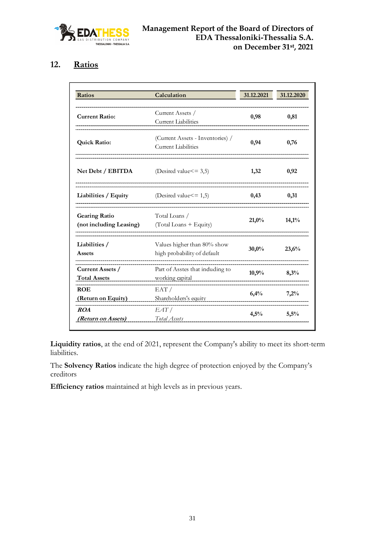

# <span id="page-30-0"></span>**12. Ratios**

| Ratios                                          | Calculation                                                    | 31.12.2021 | 31.12.2020 |
|-------------------------------------------------|----------------------------------------------------------------|------------|------------|
| <b>Current Ratio:</b>                           | Current Assets /<br><b>Current Liabilities</b>                 | 0,98       | 0,81       |
| <b>Quick Ratio:</b>                             | (Current Assets - Inventories) /<br><b>Current Liabilities</b> | 0,94       | 0,76       |
| Net Debt / EBITDA                               | (Desired value $\leq$ = 3,5)                                   | 1,32       | 0,92       |
| Liabilities / Equity                            | (Desired value $\leq$ = 1,5)                                   | 0,43       | 0,31       |
| <b>Gearing Ratio</b><br>(not including Leasing) | Total Loans /<br>(Total Loans + Equity)                        | 21,0%      | 14,1%      |
| Liabilities /<br>Assets                         | Values higher than 80% show<br>high probability of default     | 30,0%      | 23,6%      |
| Current Assets /<br><b>Total Assets</b>         | Part of Asstes that induding to<br>working capital             | 10,9%      | 8,3%       |
| <b>ROE</b><br>(Return on Equity)                | EAT/<br>Shareholders's equity                                  | 6,4%       | 7,2%       |
| ROA<br>(Return on Assets)                       | EAT/<br>Total Assets                                           | 4,5%       | 5,5%       |

**Liquidity ratios**, at the end of 2021, represent the Company's ability to meet its short-term liabilities.

The **Solvency Ratios** indicate the high degree of protection enjoyed by the Company's creditors

**Efficiency ratios** maintained at high levels as in previous years.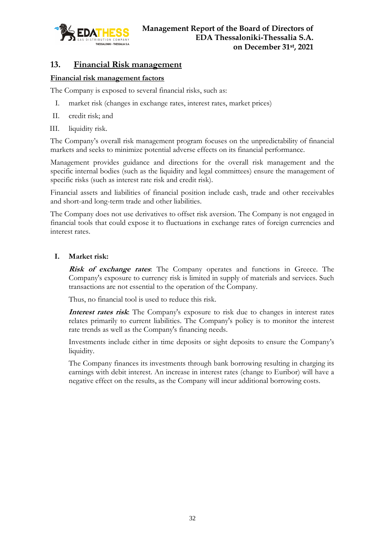

## <span id="page-31-0"></span>**13. Financial Risk management**

#### **Financial risk management factors**

The Company is exposed to several financial risks, such as:

- I. market risk (changes in exchange rates, interest rates, market prices)
- II. credit risk; and
- III. liquidity risk.

The Company's overall risk management program focuses on the unpredictability of financial markets and seeks to minimize potential adverse effects on its financial performance.

Management provides guidance and directions for the overall risk management and the specific internal bodies (such as the liquidity and legal committees) ensure the management of specific risks (such as interest rate risk and credit risk).

Financial assets and liabilities of financial position include cash, trade and other receivables and short-and long-term trade and other liabilities.

The Company does not use derivatives to offset risk aversion. The Company is not engaged in financial tools that could expose it to fluctuations in exchange rates of foreign currencies and interest rates.

#### **I. Market risk:**

**Risk of exchange rates**: The Company operates and functions in Greece. The Company's exposure to currency risk is limited in supply of materials and services. Such transactions are not essential to the operation of the Company.

Thus, no financial tool is used to reduce this risk.

**Interest rates risk**: The Company's exposure to risk due to changes in interest rates relates primarily to current liabilities. The Company's policy is to monitor the interest rate trends as well as the Company's financing needs.

Investments include either in time deposits or sight deposits to ensure the Company's liquidity.

The Company finances its investments through bank borrowing resulting in charging its earnings with debit interest. An increase in interest rates (change to Euribor) will have a negative effect on the results, as the Company will incur additional borrowing costs.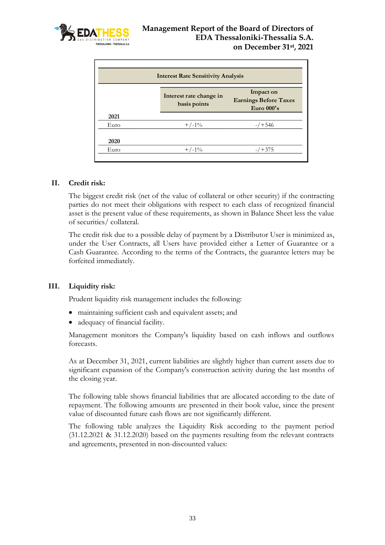

| <b>Interest Rate Sensitivity Analysis</b> |                                         |                                                         |
|-------------------------------------------|-----------------------------------------|---------------------------------------------------------|
|                                           | Interest rate change in<br>basis points | Impact on<br><b>Earnings Before Taxes</b><br>Euro 000's |
| 2021                                      |                                         |                                                         |
| Euro                                      | $+/-1\%$                                | $-7 + 546$                                              |
| 2020                                      |                                         |                                                         |
| Euro                                      | $+/-1\%$                                | $/ + 375$                                               |

#### **II. Credit risk:**

The biggest credit risk (net of the value of collateral or other security) if the contracting parties do not meet their obligations with respect to each class of recognized financial asset is the present value of these requirements, as shown in Balance Sheet less the value of securities/ collateral.

The credit risk due to a possible delay of payment by a Distributor User is minimized as, under the User Contracts, all Users have provided either a Letter of Guarantee or a Cash Guarantee. According to the terms of the Contracts, the guarantee letters may be forfeited immediately.

#### **III. Liquidity risk:**

Prudent liquidity risk management includes the following:

- maintaining sufficient cash and equivalent assets; and
- adequacy of financial facility.

Management monitors the Company's liquidity based on cash inflows and outflows forecasts.

As at December 31, 2021, current liabilities are slightly higher than current assets due to significant expansion of the Company's construction activity during the last months of the closing year.

The following table shows financial liabilities that are allocated according to the date of repayment. The following amounts are presented in their book value, since the present value of discounted future cash flows are not significantly different.

The following table analyzes the Liquidity Risk according to the payment period (31.12.2021 & 31.12.2020) based on the payments resulting from the relevant contracts and agreements, presented in non-discounted values: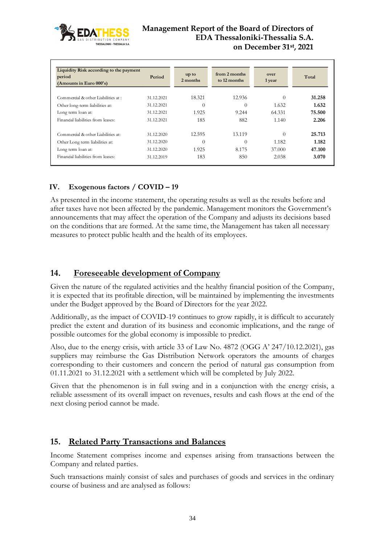

| Liquidity Risk according to the payment<br>period<br>(Amounts in Euro 000's) | Period     | up to<br>2 months | from 2 months<br>to 12 months | over<br>1 year | Total  |
|------------------------------------------------------------------------------|------------|-------------------|-------------------------------|----------------|--------|
| Commercial & other Liabilities at :                                          | 31.12.2021 | 18.321            | 12.936                        | $\theta$       | 31.258 |
| Other long-term liabilities at:                                              | 31.12.2021 | $\theta$          | $\theta$                      | 1.632          | 1.632  |
| Long term loan at:                                                           | 31.12.2021 | 1.925             | 9.244                         | 64.331         | 75.500 |
| Financial liabilities from leases:                                           | 31.12.2021 | 185               | 882                           | 1.140          | 2.206  |
| Commercial & other Liabilities at:                                           | 31.12.2020 | 12.595            | 13.119                        | $\Omega$       | 25.713 |
| Other Long term liabilities at:                                              | 31.12.2020 | $\theta$          | $\theta$                      | 1.182          | 1.182  |
| Long term loan at:                                                           | 31.12.2020 | 1.925             | 8.175                         | 37,000         | 47.100 |
| Financial liabilities from leases:                                           | 31.12.2019 | 183               | 850                           | 2.038          | 3.070  |

## **IV. Exogenous factors / COVID – 19**

As presented in the income statement, the operating results as well as the results before and after taxes have not been affected by the pandemic. Management monitors the Government's announcements that may affect the operation of the Company and adjusts its decisions based on the conditions that are formed. At the same time, the Management has taken all necessary measures to protect public health and the health of its employees.

#### <span id="page-33-0"></span>**14. Foreseeable development of Company**

Given the nature of the regulated activities and the healthy financial position of the Company, it is expected that its profitable direction, will be maintained by implementing the investments under the Budget approved by the Board of Directors for the year 2022.

Additionally, as the impact of COVID-19 continues to grow rapidly, it is difficult to accurately predict the extent and duration of its business and economic implications, and the range of possible outcomes for the global economy is impossible to predict.

Also, due to the energy crisis, with article 33 of Law No. 4872 (ΟGG A' 247/10.12.2021), gas suppliers may reimburse the Gas Distribution Network operators the amounts of charges corresponding to their customers and concern the period of natural gas consumption from 01.11.2021 to 31.12.2021 with a settlement which will be completed by July 2022.

Given that the phenomenon is in full swing and in a conjunction with the energy crisis, a reliable assessment of its overall impact on revenues, results and cash flows at the end of the next closing period cannot be made.

## <span id="page-33-1"></span>**15. Related Party Transactions and Balances**

Income Statement comprises income and expenses arising from transactions between the Company and related parties.

Such transactions mainly consist of sales and purchases of goods and services in the ordinary course of business and are analysed as follows: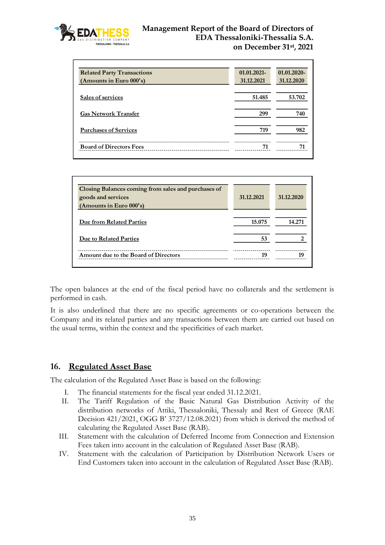

| <b>Related Party Transactions</b> | $01.01.2021 -$ | 01.01.2020- |
|-----------------------------------|----------------|-------------|
| (Amounts in Euro 000's)           | 31.12.2021     | 31.12.2020  |
| Sales of services                 | 51.485         | 53.702      |
| <b>Gas Network Transfer</b>       | 299            | 740         |
| <b>Purchases of Services</b>      | 719            | 982         |
| <b>Board of Directors Fees</b>    |                |             |

| Closing Balances coming from sales and purchases of<br>goods and services | 31.12.2021 | 31.12.2020 |
|---------------------------------------------------------------------------|------------|------------|
| (Amounts in Euro 000's)                                                   |            |            |
| Due from Related Parties                                                  | 15.075     | 14.271     |
| Due to Related Parties                                                    | 53         |            |
| Amount due to the Board of Directors                                      | 10         |            |

The open balances at the end of the fiscal period have no collaterals and the settlement is performed in cash.

It is also underlined that there are no specific agreements or co-operations between the Company and its related parties and any transactions between them are carried out based on the usual terms, within the context and the specificities of each market.

#### <span id="page-34-0"></span>**16. Regulated Asset Base**

The calculation of the Regulated Asset Base is based on the following:

- I. The financial statements for the fiscal year ended 31.12.2021.
- II. The Tariff Regulation of the Basic Natural Gas Distribution Activity of the distribution networks of Attiki, Thessaloniki, Thessaly and Rest of Greece (RAE Decision 421/2021, OGG Β' 3727/12.08.2021) from which is derived the method of calculating the Regulated Asset Base (RAB).
- III. Statement with the calculation of Deferred Income from Connection and Extension Fees taken into account in the calculation of Regulated Asset Base (RAB).
- IV. Statement with the calculation of Participation by Distribution Network Users or End Customers taken into account in the calculation of Regulated Asset Base (RAB).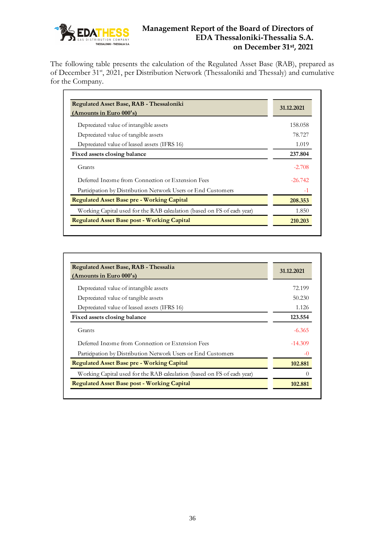

The following table presents the calculation of the Regulated Asset Base (RAB), prepared as of December 31<sup>st</sup>, 2021, per Distribution Network (Thessaloniki and Thessaly) and cumulative for the Company.

| Regulated Asset Base, RAB - Thessaloniki<br>(Amounts in Euro $000$ 's)  | 31.12.2021 |
|-------------------------------------------------------------------------|------------|
|                                                                         |            |
| Depredated value of intangible assets                                   | 158.058    |
| Depredated value of tangible assets                                     | 78.727     |
| Depredated value of leased assets (IFRS 16)                             | 1.019      |
| Fixed assets closing balance                                            | 237.804    |
| Grants                                                                  | $-2.708$   |
| Deferred Income from Connection or Extension Fees                       | $-26.742$  |
| Participation by Distribution Network Users or End Customers            | $-1$       |
| <b>Regulated Asset Base pre - Working Capital</b>                       | 208.353    |
| Working Capital used for the RAB calculation (based on FS of each year) | 1.850      |
| <b>Regulated Asset Base post - Working Capital</b>                      | 210.203    |

| Regulated Asset Base, RAB - Thessalia<br>(Amounts in Euro 000's)        | 31.12.2021 |
|-------------------------------------------------------------------------|------------|
|                                                                         |            |
| Depredated value of intangible assets                                   | 72.199     |
| Depredated value of tangible assets                                     | 50.230     |
| Depredated value of leased assets (IFRS 16)                             | 1.126      |
| Fixed assets closing balance                                            | 123.554    |
| Grants                                                                  | $-6.365$   |
| Deferred Income from Connection or Extension Fees                       | $-14.309$  |
| Participation by Distribution Network Users or End Customers            | $-()$      |
| <b>Regulated Asset Base pre - Working Capital</b>                       | 102.881    |
| Working Capital used for the RAB calculation (based on FS of each year) |            |
| <b>Regulated Asset Base post - Working Capital</b>                      | 102.881    |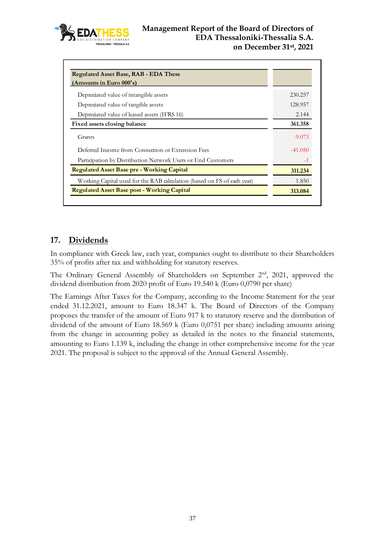

| <b>Regulated Asset Base, RAB - EDA Thess</b>                            |           |
|-------------------------------------------------------------------------|-----------|
| (Amounts in Euro $000$ 's)                                              |           |
| Depredated value of intangible assets                                   | 230.257   |
| Depredated value of tangible assets                                     | 128.957   |
| Depredated value of leased assets (IFRS 16)                             | 2.144     |
| Fixed assets closing balance                                            | 361.358   |
| Grants                                                                  | $-9.073$  |
| Deferred Income from Connection or Extension Fees                       | $-41.050$ |
| Participation by Distribution Network Users or End Customers            | $-1$      |
| <b>Regulated Asset Base pre - Working Capital</b>                       | 311.234   |
| Working Capital used for the RAB calculation (based on FS of each year) | 1.850     |
| <b>Regulated Asset Base post - Working Capital</b>                      | 313.084   |

# <span id="page-36-0"></span>**17. Dividends**

In compliance with Greek law, each year, companies ought to distribute to their Shareholders 35% of profits after tax and withholding for statutory reserves.

The Ordinary General Assembly of Shareholders on September 2<sup>nd</sup>, 2021, approved the dividend distribution from 2020 profit of Euro 19.540 k (Euro 0,0790 per share)

The Earnings After Taxes for the Company, according to the Income Statement for the year ended 31.12.2021, amount to Euro 18.347 k. The Board of Directors of the Company proposes the transfer of the amount of Euro 917 k to statutory reserve and the distribution of dividend of the amount of Euro 18.569 k (Euro 0,0751 per share) including amounts arising from the change in accounting policy as detailed in the notes to the financial statements, amounting to Euro 1.139 k, including the change in other comprehensive income for the year 2021. The proposal is subject to the approval of the Annual General Assembly.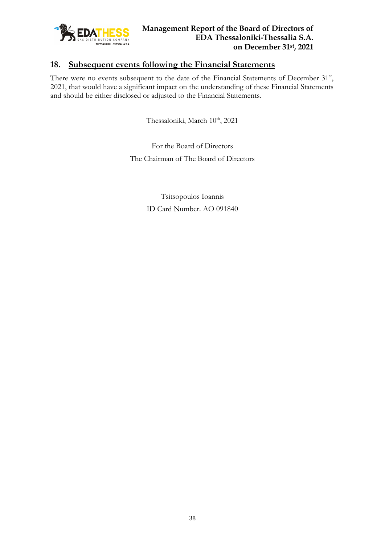

# <span id="page-37-0"></span>**18. Subsequent events following the Financial Statements**

There were no events subsequent to the date of the Financial Statements of December 31<sup>st</sup>, 2021, that would have a significant impact on the understanding of these Financial Statements and should be either disclosed or adjusted to the Financial Statements.

Thessaloniki, March 10<sup>th</sup>, 2021

For the Board of Directors The Chairman of The Board of Directors

> Tsitsopoulos Ioannis ID Card Number. ΑO 091840